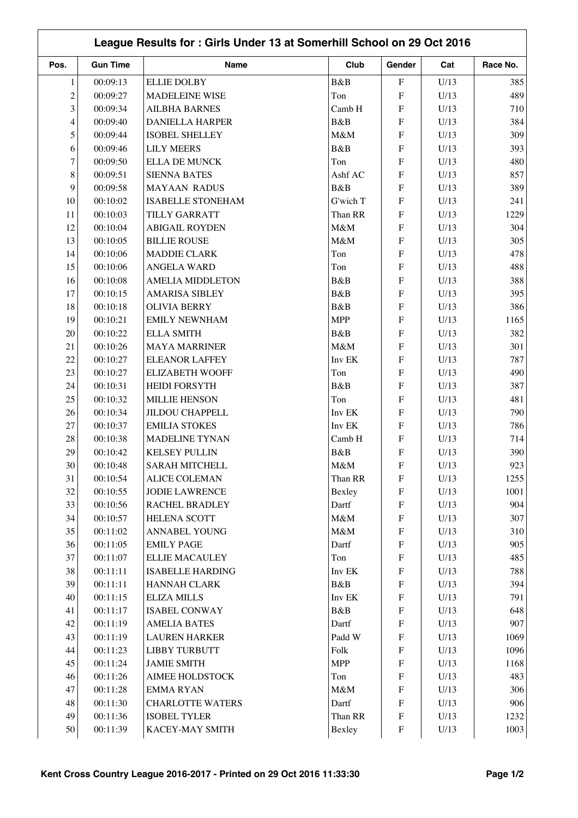|                          | League Results for: Girls Under 13 at Somerhill School on 29 Oct 2016 |                          |            |                           |      |          |  |  |
|--------------------------|-----------------------------------------------------------------------|--------------------------|------------|---------------------------|------|----------|--|--|
| Pos.                     | <b>Gun Time</b>                                                       | <b>Name</b>              | Club       | Gender                    | Cat  | Race No. |  |  |
| $\mathbf{1}$             | 00:09:13                                                              | <b>ELLIE DOLBY</b>       | B&B        | $\boldsymbol{\mathrm{F}}$ | U/13 | 385      |  |  |
| $\overline{c}$           | 00:09:27                                                              | <b>MADELEINE WISE</b>    | Ton        | ${\bf F}$                 | U/13 | 489      |  |  |
| 3                        | 00:09:34                                                              | <b>AILBHA BARNES</b>     | Camb H     | $\boldsymbol{\mathrm{F}}$ | U/13 | 710      |  |  |
| $\overline{\mathcal{L}}$ | 00:09:40                                                              | <b>DANIELLA HARPER</b>   | B&B        | ${\bf F}$                 | U/13 | 384      |  |  |
| 5                        | 00:09:44                                                              | <b>ISOBEL SHELLEY</b>    | M&M        | ${\bf F}$                 | U/13 | 309      |  |  |
| 6                        | 00:09:46                                                              | <b>LILY MEERS</b>        | B&B        | ${\bf F}$                 | U/13 | 393      |  |  |
| $\tau$                   | 00:09:50                                                              | <b>ELLA DE MUNCK</b>     | Ton        | ${\bf F}$                 | U/13 | 480      |  |  |
| $8\,$                    | 00:09:51                                                              | <b>SIENNA BATES</b>      | Ashf AC    | ${\bf F}$                 | U/13 | 857      |  |  |
| 9                        | 00:09:58                                                              | <b>MAYAAN RADUS</b>      | B&B        | ${\bf F}$                 | U/13 | 389      |  |  |
| 10                       | 00:10:02                                                              | <b>ISABELLE STONEHAM</b> | G'wich T   | ${\bf F}$                 | U/13 | 241      |  |  |
| 11                       | 00:10:03                                                              | TILLY GARRATT            | Than RR    | $\boldsymbol{\mathrm{F}}$ | U/13 | 1229     |  |  |
| 12                       | 00:10:04                                                              | <b>ABIGAIL ROYDEN</b>    | M&M        | ${\bf F}$                 | U/13 | 304      |  |  |
| 13                       | 00:10:05                                                              | <b>BILLIE ROUSE</b>      | M&M        | ${\bf F}$                 | U/13 | 305      |  |  |
| 14                       | 00:10:06                                                              | <b>MADDIE CLARK</b>      | Ton        | ${\bf F}$                 | U/13 | 478      |  |  |
| 15                       | 00:10:06                                                              | <b>ANGELA WARD</b>       | Ton        | ${\bf F}$                 | U/13 | 488      |  |  |
| 16                       | 00:10:08                                                              | <b>AMELIA MIDDLETON</b>  | B&B        | $\boldsymbol{\mathrm{F}}$ | U/13 | 388      |  |  |
| 17                       | 00:10:15                                                              | <b>AMARISA SIBLEY</b>    | B&B        | ${\bf F}$                 | U/13 | 395      |  |  |
| 18                       | 00:10:18                                                              | <b>OLIVIA BERRY</b>      | B&B        | $\boldsymbol{\mathrm{F}}$ | U/13 | 386      |  |  |
| 19                       | 00:10:21                                                              | <b>EMILY NEWNHAM</b>     | <b>MPP</b> | ${\bf F}$                 | U/13 | 1165     |  |  |
| 20                       | 00:10:22                                                              | <b>ELLA SMITH</b>        | B&B        | ${\bf F}$                 | U/13 | 382      |  |  |
| 21                       | 00:10:26                                                              | <b>MAYA MARRINER</b>     | M&M        | ${\bf F}$                 | U/13 | 301      |  |  |
| 22                       | 00:10:27                                                              | <b>ELEANOR LAFFEY</b>    | Inv EK     | ${\bf F}$                 | U/13 | 787      |  |  |
| 23                       | 00:10:27                                                              | <b>ELIZABETH WOOFF</b>   | Ton        | ${\bf F}$                 | U/13 | 490      |  |  |
| 24                       | 00:10:31                                                              | <b>HEIDI FORSYTH</b>     | B&B        | ${\bf F}$                 | U/13 | 387      |  |  |
| 25                       | 00:10:32                                                              | <b>MILLIE HENSON</b>     | Ton        | ${\bf F}$                 | U/13 | 481      |  |  |
| 26                       | 00:10:34                                                              | <b>JILDOU CHAPPELL</b>   | Inv EK     | $\rm F$                   | U/13 | 790      |  |  |
| 27                       | 00:10:37                                                              | <b>EMILIA STOKES</b>     | Inv EK     | ${\bf F}$                 | U/13 | 786      |  |  |
| 28                       | 00:10:38                                                              | <b>MADELINE TYNAN</b>    | Camb H     | ${\bf F}$                 | U/13 | 714      |  |  |
| 29                       | 00:10:42                                                              | <b>KELSEY PULLIN</b>     | B&B        | ${\bf F}$                 | U/13 | 390      |  |  |
| $30\,$                   | 00:10:48                                                              | <b>SARAH MITCHELL</b>    | $M\&M$     | ${\bf F}$                 | U/13 | 923      |  |  |
| 31                       | 00:10:54                                                              | <b>ALICE COLEMAN</b>     | Than RR    | F                         | U/13 | 1255     |  |  |
| 32                       | 00:10:55                                                              | <b>JODIE LAWRENCE</b>    | Bexley     | ${\bf F}$                 | U/13 | 1001     |  |  |
| 33                       | 00:10:56                                                              | RACHEL BRADLEY           | Dartf      | ${\bf F}$                 | U/13 | 904      |  |  |
| 34                       | 00:10:57                                                              | <b>HELENA SCOTT</b>      | $M\&M$     | ${\bf F}$                 | U/13 | 307      |  |  |
| 35                       | 00:11:02                                                              | ANNABEL YOUNG            | $M\&M$     | ${\bf F}$                 | U/13 | 310      |  |  |
| 36                       | 00:11:05                                                              | <b>EMILY PAGE</b>        | Dartf      | ${\bf F}$                 | U/13 | 905      |  |  |
| 37                       | 00:11:07                                                              | <b>ELLIE MACAULEY</b>    | Ton        | ${\bf F}$                 | U/13 | 485      |  |  |
| 38                       | 00:11:11                                                              | <b>ISABELLE HARDING</b>  | Inv EK     | ${\bf F}$                 | U/13 | 788      |  |  |
| 39                       | 00:11:11                                                              | HANNAH CLARK             | B&B        | ${\bf F}$                 | U/13 | 394      |  |  |
| 40                       | 00:11:15                                                              | <b>ELIZA MILLS</b>       | Inv EK     | ${\bf F}$                 | U/13 | 791      |  |  |
| 41                       | 00:11:17                                                              | <b>ISABEL CONWAY</b>     | B&B        | ${\bf F}$                 | U/13 | 648      |  |  |
| 42                       | 00:11:19                                                              | <b>AMELIA BATES</b>      | Dartf      | ${\bf F}$                 | U/13 | 907      |  |  |
| 43                       | 00:11:19                                                              | <b>LAUREN HARKER</b>     | Padd W     | ${\bf F}$                 | U/13 | 1069     |  |  |
| 44                       | 00:11:23                                                              | <b>LIBBY TURBUTT</b>     | Folk       | ${\bf F}$                 | U/13 | 1096     |  |  |
| 45                       | 00:11:24                                                              | <b>JAMIE SMITH</b>       | <b>MPP</b> | ${\bf F}$                 | U/13 | 1168     |  |  |
| 46                       | 00:11:26                                                              | AIMEE HOLDSTOCK          | Ton        | ${\bf F}$                 | U/13 | 483      |  |  |
| 47                       | 00:11:28                                                              | <b>EMMARYAN</b>          | M&M        | ${\bf F}$                 | U/13 | 306      |  |  |
| 48                       | 00:11:30                                                              | <b>CHARLOTTE WATERS</b>  | Dartf      | ${\bf F}$                 | U/13 | 906      |  |  |
| 49                       | 00:11:36                                                              | <b>ISOBEL TYLER</b>      | Than RR    | ${\bf F}$                 | U/13 | 1232     |  |  |
| 50                       | 00:11:39                                                              | KACEY-MAY SMITH          | Bexley     | ${\bf F}$                 | U/13 | 1003     |  |  |
|                          |                                                                       |                          |            |                           |      |          |  |  |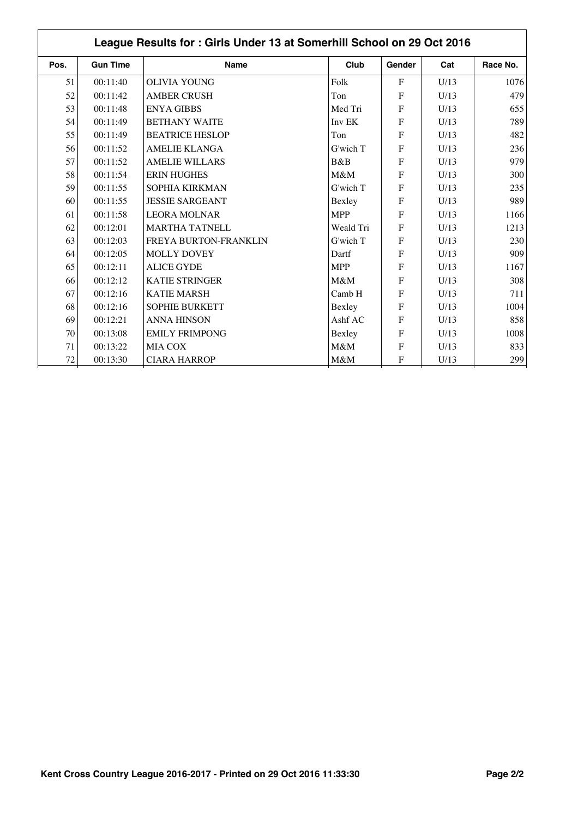| Pos.   | <b>Gun Time</b> | <b>Name</b>            | Club       | Gender       | Cat  | Race No. |
|--------|-----------------|------------------------|------------|--------------|------|----------|
| 51     | 00:11:40        | <b>OLIVIA YOUNG</b>    | Folk       | $\mathbf{F}$ | U/13 | 1076     |
| 52     | 00:11:42        | <b>AMBER CRUSH</b>     | Ton        | $\mathbf{F}$ | U/13 | 479      |
| 53     | 00:11:48        | <b>ENYA GIBBS</b>      | Med Tri    | $\mathbf{F}$ | U/13 | 655      |
| 54     | 00:11:49        | <b>BETHANY WAITE</b>   | Inv EK     | $\mathbf{F}$ | U/13 | 789      |
| 55     | 00:11:49        | <b>BEATRICE HESLOP</b> | Ton        | $\mathbf{F}$ | U/13 | 482      |
| 56     | 00:11:52        | <b>AMELIE KLANGA</b>   | G'wich T   | F            | U/13 | 236      |
| 57     | 00:11:52        | <b>AMELIE WILLARS</b>  | B&B        | $\mathbf{F}$ | U/13 | 979      |
| 58     | 00:11:54        | <b>ERIN HUGHES</b>     | M&M        | $\mathbf{F}$ | U/13 | 300      |
| 59     | 00:11:55        | SOPHIA KIRKMAN         | G'wich T   | F            | U/13 | 235      |
| 60     | 00:11:55        | <b>JESSIE SARGEANT</b> | Bexley     | $\mathbf{F}$ | U/13 | 989      |
| 61     | 00:11:58        | <b>LEORA MOLNAR</b>    | <b>MPP</b> | $\mathbf{F}$ | U/13 | 1166     |
| 62     | 00:12:01        | <b>MARTHA TATNELL</b>  | Weald Tri  | F            | U/13 | 1213     |
| 63     | 00:12:03        | FREYA BURTON-FRANKLIN  | G'wich T   | $\mathbf{F}$ | U/13 | 230      |
| 64     | 00:12:05        | <b>MOLLY DOVEY</b>     | Dartf      | $\mathbf{F}$ | U/13 | 909      |
| 65     | 00:12:11        | <b>ALICE GYDE</b>      | <b>MPP</b> | $\mathbf{F}$ | U/13 | 1167     |
| 66     | 00:12:12        | <b>KATIE STRINGER</b>  | M&M        | $\mathbf{F}$ | U/13 | 308      |
| 67     | 00:12:16        | <b>KATIE MARSH</b>     | Camb H     | F            | U/13 | 711      |
| 68     | 00:12:16        | <b>SOPHIE BURKETT</b>  | Bexley     | $\mathbf{F}$ | U/13 | 1004     |
| 69     | 00:12:21        | <b>ANNA HINSON</b>     | Ashf AC    | $\mathbf F$  | U/13 | 858      |
| 70     | 00:13:08        | <b>EMILY FRIMPONG</b>  | Bexley     | $\mathbf{F}$ | U/13 | 1008     |
| 71     | 00:13:22        | <b>MIA COX</b>         | M&M        | $\mathbf{F}$ | U/13 | 833      |
| $72\,$ | 00:13:30        | <b>CIARA HARROP</b>    | $M\&M$     | F            | U/13 | 299      |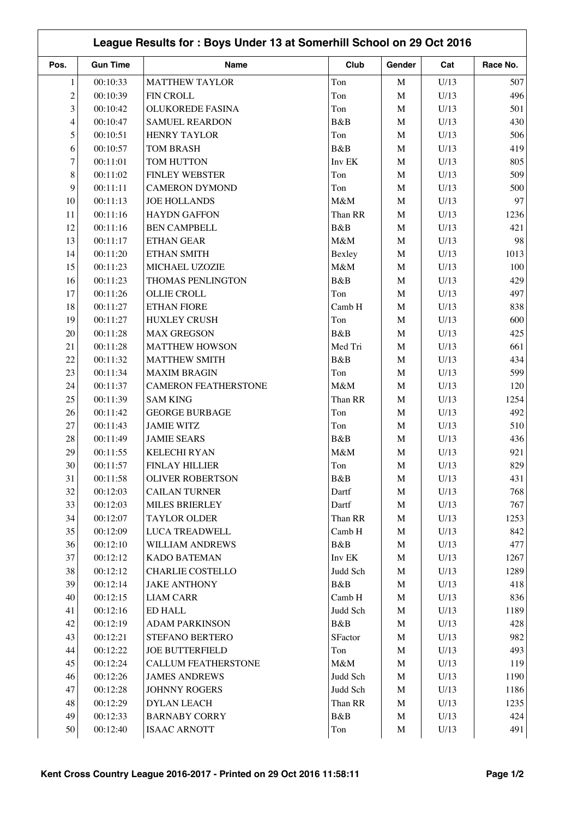|              | League Results for: Boys Under 13 at Somerhill School on 29 Oct 2016 |                             |          |              |      |          |  |  |
|--------------|----------------------------------------------------------------------|-----------------------------|----------|--------------|------|----------|--|--|
| Pos.         | <b>Gun Time</b>                                                      | Name                        | Club     | Gender       | Cat  | Race No. |  |  |
| $\mathbf{1}$ | 00:10:33                                                             | <b>MATTHEW TAYLOR</b>       | Ton      | $\mathbf M$  | U/13 | 507      |  |  |
| 2            | 00:10:39                                                             | <b>FIN CROLL</b>            | Ton      | $\mathbf M$  | U/13 | 496      |  |  |
| 3            | 00:10:42                                                             | <b>OLUKOREDE FASINA</b>     | Ton      | $\mathbf M$  | U/13 | 501      |  |  |
| 4            | 00:10:47                                                             | <b>SAMUEL REARDON</b>       | B&B      | $\mathbf M$  | U/13 | 430      |  |  |
| 5            | 00:10:51                                                             | <b>HENRY TAYLOR</b>         | Ton      | $\mathbf M$  | U/13 | 506      |  |  |
| 6            | 00:10:57                                                             | <b>TOM BRASH</b>            | B&B      | $\mathbf M$  | U/13 | 419      |  |  |
| 7            | 00:11:01                                                             | TOM HUTTON                  | Inv EK   | $\mathbf M$  | U/13 | 805      |  |  |
| 8            | 00:11:02                                                             | <b>FINLEY WEBSTER</b>       | Ton      | $\mathbf M$  | U/13 | 509      |  |  |
| 9            | 00:11:11                                                             | <b>CAMERON DYMOND</b>       | Ton      | $\mathbf M$  | U/13 | 500      |  |  |
| 10           | 00:11:13                                                             | <b>JOE HOLLANDS</b>         | M&M      | $\mathbf M$  | U/13 | 97       |  |  |
| 11           | 00:11:16                                                             | <b>HAYDN GAFFON</b>         | Than RR  | $\mathbf M$  | U/13 | 1236     |  |  |
| 12           | 00:11:16                                                             | <b>BEN CAMPBELL</b>         | B&B      | $\mathbf M$  | U/13 | 421      |  |  |
| 13           | 00:11:17                                                             | ETHAN GEAR                  | M&M      | $\mathbf M$  | U/13 | 98       |  |  |
| 14           | 00:11:20                                                             | ETHAN SMITH                 | Bexley   | $\mathbf M$  | U/13 | 1013     |  |  |
| 15           | 00:11:23                                                             | MICHAEL UZOZIE              | M&M      | $\mathbf M$  | U/13 | 100      |  |  |
| 16           | 00:11:23                                                             | THOMAS PENLINGTON           | B&B      | M            | U/13 | 429      |  |  |
| 17           | 00:11:26                                                             | <b>OLLIE CROLL</b>          | Ton      | $\mathbf M$  | U/13 | 497      |  |  |
| 18           | 00:11:27                                                             | <b>ETHAN FIORE</b>          | Camb H   | $\mathbf M$  | U/13 | 838      |  |  |
| 19           | 00:11:27                                                             | <b>HUXLEY CRUSH</b>         | Ton      | $\mathbf M$  | U/13 | 600      |  |  |
| 20           | 00:11:28                                                             | <b>MAX GREGSON</b>          | B&B      | $\mathbf M$  | U/13 | 425      |  |  |
| 21           | 00:11:28                                                             | <b>MATTHEW HOWSON</b>       | Med Tri  | $\mathbf M$  | U/13 | 661      |  |  |
| 22           | 00:11:32                                                             | <b>MATTHEW SMITH</b>        | B&B      | $\mathbf M$  | U/13 | 434      |  |  |
| 23           | 00:11:34                                                             | <b>MAXIM BRAGIN</b>         | Ton      | $\mathbf M$  | U/13 | 599      |  |  |
| 24           | 00:11:37                                                             | <b>CAMERON FEATHERSTONE</b> | M&M      | $\mathbf M$  | U/13 | 120      |  |  |
| 25           | 00:11:39                                                             | <b>SAM KING</b>             | Than RR  | $\mathbf M$  | U/13 | 1254     |  |  |
| 26           | 00:11:42                                                             | <b>GEORGE BURBAGE</b>       | Ton      | $\mathbf M$  | U/13 | 492      |  |  |
| 27           | 00:11:43                                                             | <b>JAMIE WITZ</b>           | Ton      | $\mathbf M$  | U/13 | 510      |  |  |
| $28\,$       | 00:11:49                                                             | <b>JAMIE SEARS</b>          | B&B      | $\mathbf{M}$ | U/13 | 436      |  |  |
| 29           | 00:11:55                                                             | <b>KELECHI RYAN</b>         | M&M      | $\mathbf{M}$ | U/13 | 921      |  |  |
| $30\,$       | 00:11:57                                                             | FINLAY HILLIER              | Ton      | M            | U/13 | 829      |  |  |
| 31           | 00:11:58                                                             | <b>OLIVER ROBERTSON</b>     | B&B      | M            | U/13 | 431      |  |  |
| 32           | 00:12:03                                                             | <b>CAILAN TURNER</b>        | Dartf    | $\mathbf M$  | U/13 | 768      |  |  |
| 33           | 00:12:03                                                             | <b>MILES BRIERLEY</b>       | Dartf    | M            | U/13 | 767      |  |  |
| 34           | 00:12:07                                                             | TAYLOR OLDER                | Than RR  | $\mathbf M$  | U/13 | 1253     |  |  |
| 35           | 00:12:09                                                             | LUCA TREADWELL              | Camb H   | M            | U/13 | 842      |  |  |
| 36           | 00:12:10                                                             | WILLIAM ANDREWS             | B&B      | $\mathbf M$  | U/13 | 477      |  |  |
| 37           | 00:12:12                                                             | <b>KADO BATEMAN</b>         | Inv EK   | M            | U/13 | 1267     |  |  |
| 38           | 00:12:12                                                             | <b>CHARLIE COSTELLO</b>     | Judd Sch | $\mathbf M$  | U/13 | 1289     |  |  |
| 39           | 00:12:14                                                             | <b>JAKE ANTHONY</b>         | B&B      | $\mathbf M$  | U/13 | 418      |  |  |
| 40           | 00:12:15                                                             | <b>LIAM CARR</b>            | Camb H   | $\mathbf M$  | U/13 | 836      |  |  |
| 41           | 00:12:16                                                             | ED HALL                     | Judd Sch | $\mathbf M$  | U/13 | 1189     |  |  |
| 42           | 00:12:19                                                             | <b>ADAM PARKINSON</b>       | B&B      | $\mathbf M$  | U/13 | 428      |  |  |
| 43           | 00:12:21                                                             | STEFANO BERTERO             | SFactor  | $\mathbf M$  | U/13 | 982      |  |  |
| 44           | 00:12:22                                                             | <b>JOE BUTTERFIELD</b>      | Ton      | $\mathbf M$  | U/13 | 493      |  |  |
| 45           | 00:12:24                                                             | CALLUM FEATHERSTONE         | $M\&M$   | M            | U/13 | 119      |  |  |
| 46           | 00:12:26                                                             | <b>JAMES ANDREWS</b>        | Judd Sch | $\mathbf M$  | U/13 | 1190     |  |  |
| 47           | 00:12:28                                                             | <b>JOHNNY ROGERS</b>        | Judd Sch | $\mathbf M$  | U/13 | 1186     |  |  |
| 48           | 00:12:29                                                             | <b>DYLAN LEACH</b>          | Than RR  | M            | U/13 | 1235     |  |  |
| 49           | 00:12:33                                                             | <b>BARNABY CORRY</b>        | B&B      | $\mathbf M$  | U/13 | 424      |  |  |
| 50           | 00:12:40                                                             | <b>ISAAC ARNOTT</b>         | Ton      | M            | U/13 | 491      |  |  |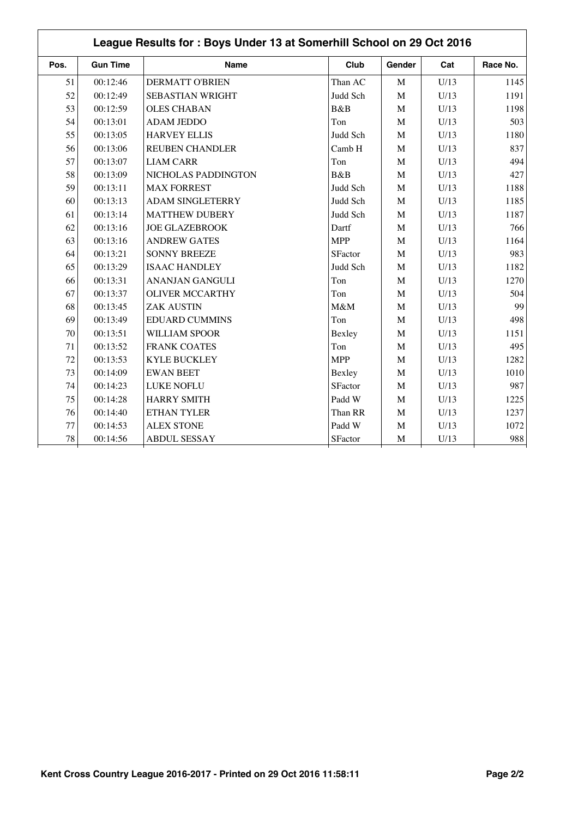|      | League Results for: Boys Under 13 at Somerhill School on 29 Oct 2016 |                         |                |              |      |          |  |  |
|------|----------------------------------------------------------------------|-------------------------|----------------|--------------|------|----------|--|--|
| Pos. | <b>Gun Time</b>                                                      | Name                    | Club           | Gender       | Cat  | Race No. |  |  |
| 51   | 00:12:46                                                             | <b>DERMATT O'BRIEN</b>  | Than AC        | $\mathbf M$  | U/13 | 1145     |  |  |
| 52   | 00:12:49                                                             | SEBASTIAN WRIGHT        | Judd Sch       | $\mathbf M$  | U/13 | 1191     |  |  |
| 53   | 00:12:59                                                             | <b>OLES CHABAN</b>      | B&B            | $\mathbf{M}$ | U/13 | 1198     |  |  |
| 54   | 00:13:01                                                             | <b>ADAM JEDDO</b>       | Ton            | $\mathbf M$  | U/13 | 503      |  |  |
| 55   | 00:13:05                                                             | <b>HARVEY ELLIS</b>     | Judd Sch       | M            | U/13 | 1180     |  |  |
| 56   | 00:13:06                                                             | <b>REUBEN CHANDLER</b>  | Camb H         | $\mathbf{M}$ | U/13 | 837      |  |  |
| 57   | 00:13:07                                                             | <b>LIAM CARR</b>        | Ton            | $\mathbf M$  | U/13 | 494      |  |  |
| 58   | 00:13:09                                                             | NICHOLAS PADDINGTON     | B&B            | $\mathbf{M}$ | U/13 | 427      |  |  |
| 59   | 00:13:11                                                             | <b>MAX FORREST</b>      | Judd Sch       | $\mathbf M$  | U/13 | 1188     |  |  |
| 60   | 00:13:13                                                             | <b>ADAM SINGLETERRY</b> | Judd Sch       | M            | U/13 | 1185     |  |  |
| 61   | 00:13:14                                                             | <b>MATTHEW DUBERY</b>   | Judd Sch       | M            | U/13 | 1187     |  |  |
| 62   | 00:13:16                                                             | <b>JOE GLAZEBROOK</b>   | Dartf          | $\mathbf M$  | U/13 | 766      |  |  |
| 63   | 00:13:16                                                             | <b>ANDREW GATES</b>     | <b>MPP</b>     | $\mathbf{M}$ | U/13 | 1164     |  |  |
| 64   | 00:13:21                                                             | <b>SONNY BREEZE</b>     | <b>SFactor</b> | $\mathbf M$  | U/13 | 983      |  |  |
| 65   | 00:13:29                                                             | <b>ISAAC HANDLEY</b>    | Judd Sch       | M            | U/13 | 1182     |  |  |
| 66   | 00:13:31                                                             | <b>ANANJAN GANGULI</b>  | Ton            | $\mathbf{M}$ | U/13 | 1270     |  |  |
| 67   | 00:13:37                                                             | <b>OLIVER MCCARTHY</b>  | Ton            | $\mathbf M$  | U/13 | 504      |  |  |
| 68   | 00:13:45                                                             | <b>ZAK AUSTIN</b>       | M&M            | M            | U/13 | 99       |  |  |
| 69   | 00:13:49                                                             | <b>EDUARD CUMMINS</b>   | Ton            | $\mathbf M$  | U/13 | 498      |  |  |
| 70   | 00:13:51                                                             | <b>WILLIAM SPOOR</b>    | Bexley         | $\mathbf M$  | U/13 | 1151     |  |  |
| 71   | 00:13:52                                                             | <b>FRANK COATES</b>     | Ton            | $\mathbf{M}$ | U/13 | 495      |  |  |
| 72   | 00:13:53                                                             | <b>KYLE BUCKLEY</b>     | <b>MPP</b>     | M            | U/13 | 1282     |  |  |
| 73   | 00:14:09                                                             | <b>EWAN BEET</b>        | Bexley         | M            | U/13 | 1010     |  |  |
| 74   | 00:14:23                                                             | LUKE NOFLU              | <b>SFactor</b> | $\mathbf M$  | U/13 | 987      |  |  |
| 75   | 00:14:28                                                             | <b>HARRY SMITH</b>      | Padd W         | M            | U/13 | 1225     |  |  |
| 76   | 00:14:40                                                             | ETHAN TYLER             | Than RR        | M            | U/13 | 1237     |  |  |
| 77   | 00:14:53                                                             | <b>ALEX STONE</b>       | Padd W         | M            | U/13 | 1072     |  |  |
| 78   | 00:14:56                                                             | <b>ABDUL SESSAY</b>     | SFactor        | $\mathbf M$  | U/13 | 988      |  |  |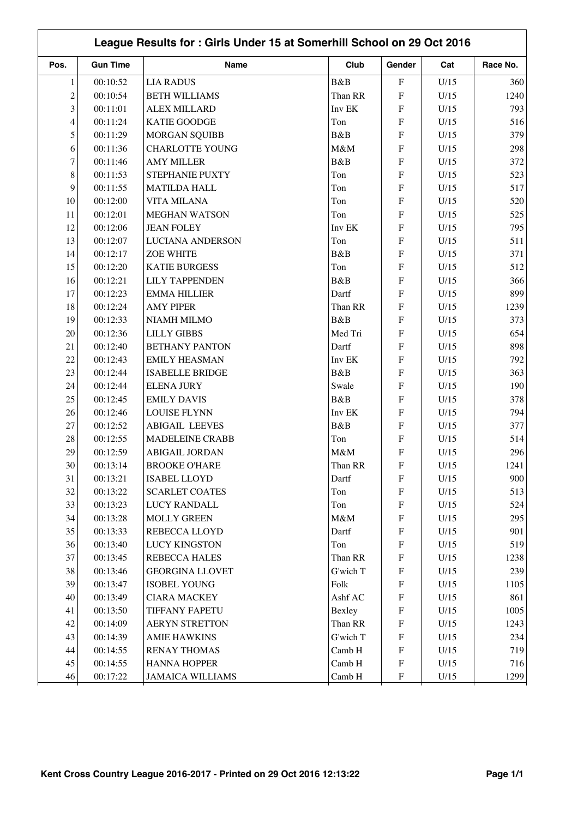|                | League Results for: Girls Under 15 at Somerhill School on 29 Oct 2016 |                         |          |                           |      |          |  |  |
|----------------|-----------------------------------------------------------------------|-------------------------|----------|---------------------------|------|----------|--|--|
| Pos.           | <b>Gun Time</b>                                                       | Name                    | Club     | Gender                    | Cat  | Race No. |  |  |
| 1              | 00:10:52                                                              | <b>LIA RADUS</b>        | B&B      | ${\bf F}$                 | U/15 | 360      |  |  |
| $\overline{c}$ | 00:10:54                                                              | <b>BETH WILLIAMS</b>    | Than RR  | ${\bf F}$                 | U/15 | 1240     |  |  |
| 3              | 00:11:01                                                              | <b>ALEX MILLARD</b>     | Inv EK   | ${\bf F}$                 | U/15 | 793      |  |  |
| 4              | 00:11:24                                                              | <b>KATIE GOODGE</b>     | Ton      | ${\bf F}$                 | U/15 | 516      |  |  |
| 5              | 00:11:29                                                              | <b>MORGAN SQUIBB</b>    | B&B      | $\overline{F}$            | U/15 | 379      |  |  |
| 6              | 00:11:36                                                              | <b>CHARLOTTE YOUNG</b>  | M&M      | ${\bf F}$                 | U/15 | 298      |  |  |
| $\overline{7}$ | 00:11:46                                                              | <b>AMY MILLER</b>       | B&B      | ${\bf F}$                 | U/15 | 372      |  |  |
| 8              | 00:11:53                                                              | STEPHANIE PUXTY         | Ton      | ${\bf F}$                 | U/15 | 523      |  |  |
| 9              | 00:11:55                                                              | <b>MATILDA HALL</b>     | Ton      | ${\bf F}$                 | U/15 | 517      |  |  |
| 10             | 00:12:00                                                              | <b>VITA MILANA</b>      | Ton      | ${\bf F}$                 | U/15 | 520      |  |  |
| 11             | 00:12:01                                                              | <b>MEGHAN WATSON</b>    | Ton      | ${\rm F}$                 | U/15 | 525      |  |  |
| 12             | 00:12:06                                                              | <b>JEAN FOLEY</b>       | Inv EK   | ${\bf F}$                 | U/15 | 795      |  |  |
| 13             | 00:12:07                                                              | <b>LUCIANA ANDERSON</b> | Ton      | ${\bf F}$                 | U/15 | 511      |  |  |
| 14             | 00:12:17                                                              | <b>ZOE WHITE</b>        | B&B      | ${\bf F}$                 | U/15 | 371      |  |  |
| 15             | 00:12:20                                                              | <b>KATIE BURGESS</b>    | Ton      | ${\bf F}$                 | U/15 | 512      |  |  |
| 16             | 00:12:21                                                              | <b>LILY TAPPENDEN</b>   | B&B      | ${\bf F}$                 | U/15 | 366      |  |  |
| 17             | 00:12:23                                                              | <b>EMMA HILLIER</b>     | Dartf    | ${\bf F}$                 | U/15 | 899      |  |  |
| 18             | 00:12:24                                                              | <b>AMY PIPER</b>        | Than RR  | ${\bf F}$                 | U/15 | 1239     |  |  |
| 19             | 00:12:33                                                              | <b>NIAMH MILMO</b>      | B&B      | ${\bf F}$                 | U/15 | 373      |  |  |
| 20             | 00:12:36                                                              | <b>LILLY GIBBS</b>      | Med Tri  | F                         | U/15 | 654      |  |  |
| 21             | 00:12:40                                                              | <b>BETHANY PANTON</b>   | Dartf    | ${\bf F}$                 | U/15 | 898      |  |  |
| 22             | 00:12:43                                                              | <b>EMILY HEASMAN</b>    | Inv EK   | ${\bf F}$                 | U/15 | 792      |  |  |
| 23             | 00:12:44                                                              | <b>ISABELLE BRIDGE</b>  | B&B      | ${\bf F}$                 | U/15 | 363      |  |  |
| 24             | 00:12:44                                                              | <b>ELENA JURY</b>       | Swale    | ${\bf F}$                 | U/15 | 190      |  |  |
| 25             | 00:12:45                                                              | <b>EMILY DAVIS</b>      | B&B      | ${\bf F}$                 | U/15 | 378      |  |  |
| 26             | 00:12:46                                                              | <b>LOUISE FLYNN</b>     | Inv EK   | ${\rm F}$                 | U/15 | 794      |  |  |
| 27             | 00:12:52                                                              | <b>ABIGAIL LEEVES</b>   | B&B      | ${\bf F}$                 | U/15 | 377      |  |  |
| 28             | 00:12:55                                                              | <b>MADELEINE CRABB</b>  | Ton      | ${\bf F}$                 | U/15 | 514      |  |  |
| 29             | 00:12:59                                                              | <b>ABIGAIL JORDAN</b>   | M&M      | ${\bf F}$                 | U/15 | 296      |  |  |
| $30\,$         | 00:13:14                                                              | <b>BROOKE O'HARE</b>    | Than RR  | $\boldsymbol{\mathrm{F}}$ | U/15 | 1241     |  |  |
| 31             | 00:13:21                                                              | <b>ISABEL LLOYD</b>     | Dartf    | F                         | U/15 | 900      |  |  |
| 32             | 00:13:22                                                              | <b>SCARLET COATES</b>   | Ton      | $\boldsymbol{\mathrm{F}}$ | U/15 | 513      |  |  |
| 33             | 00:13:23                                                              | <b>LUCY RANDALL</b>     | Ton      | ${\bf F}$                 | U/15 | 524      |  |  |
| 34             | 00:13:28                                                              | <b>MOLLY GREEN</b>      | $M\&M$   | $\boldsymbol{\mathrm{F}}$ | U/15 | 295      |  |  |
| 35             | 00:13:33                                                              | REBECCA LLOYD           | Dartf    | ${\bf F}$                 | U/15 | 901      |  |  |
| 36             | 00:13:40                                                              | <b>LUCY KINGSTON</b>    | Ton      | F                         | U/15 | 519      |  |  |
| 37             | 00:13:45                                                              | REBECCA HALES           | Than RR  | F                         | U/15 | 1238     |  |  |
| 38             | 00:13:46                                                              | <b>GEORGINA LLOVET</b>  | G'wich T | $\boldsymbol{\mathrm{F}}$ | U/15 | 239      |  |  |
| 39             | 00:13:47                                                              | <b>ISOBEL YOUNG</b>     | Folk     | $\boldsymbol{\mathrm{F}}$ | U/15 | 1105     |  |  |
| 40             | 00:13:49                                                              | <b>CIARA MACKEY</b>     | Ashf AC  | ${\bf F}$                 | U/15 | 861      |  |  |
| 41             | 00:13:50                                                              | TIFFANY FAPETU          | Bexley   | $\boldsymbol{\mathrm{F}}$ | U/15 | 1005     |  |  |
| 42             | 00:14:09                                                              | <b>AERYN STRETTON</b>   | Than RR  | ${\bf F}$                 | U/15 | 1243     |  |  |
| 43             | 00:14:39                                                              | <b>AMIE HAWKINS</b>     | G'wich T | ${\bf F}$                 | U/15 | 234      |  |  |
| 44             | 00:14:55                                                              | <b>RENAY THOMAS</b>     | Camb H   | ${\bf F}$                 | U/15 | 719      |  |  |
| 45             | 00:14:55                                                              | <b>HANNA HOPPER</b>     | Camb H   | $\boldsymbol{\mathrm{F}}$ | U/15 | 716      |  |  |
| 46             | 00:17:22                                                              | <b>JAMAICA WILLIAMS</b> | Camb H   | F                         | U/15 | 1299     |  |  |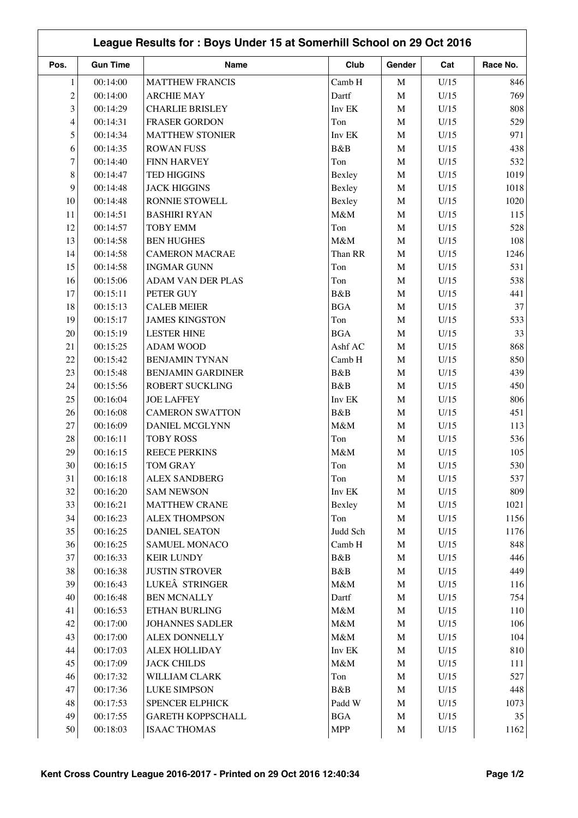|                |                 | League Results for: Boys Under 15 at Somerhill School on 29 Oct 2016 |                |             |      |          |
|----------------|-----------------|----------------------------------------------------------------------|----------------|-------------|------|----------|
| Pos.           | <b>Gun Time</b> | Name                                                                 | Club           | Gender      | Cat  | Race No. |
| 1              | 00:14:00        | <b>MATTHEW FRANCIS</b>                                               | Camb H         | $\mathbf M$ | U/15 | 846      |
| $\overline{c}$ | 00:14:00        | <b>ARCHIE MAY</b>                                                    | Dartf          | $\mathbf M$ | U/15 | 769      |
| 3              | 00:14:29        | <b>CHARLIE BRISLEY</b>                                               | Inv EK         | $\mathbf M$ | U/15 | 808      |
| 4              | 00:14:31        | FRASER GORDON                                                        | Ton            | $\mathbf M$ | U/15 | 529      |
| 5              | 00:14:34        | <b>MATTHEW STONIER</b>                                               | Inv EK         | $\mathbf M$ | U/15 | 971      |
| 6              | 00:14:35        | <b>ROWAN FUSS</b>                                                    | B&B            | $\mathbf M$ | U/15 | 438      |
| 7              | 00:14:40        | <b>FINN HARVEY</b>                                                   | Ton            | $\mathbf M$ | U/15 | 532      |
| 8              | 00:14:47        | <b>TED HIGGINS</b>                                                   | Bexley         | $\mathbf M$ | U/15 | 1019     |
| 9              | 00:14:48        | <b>JACK HIGGINS</b>                                                  | Bexley         | $\mathbf M$ | U/15 | 1018     |
| 10             | 00:14:48        | RONNIE STOWELL                                                       | Bexley         | $\mathbf M$ | U/15 | 1020     |
| 11             | 00:14:51        | <b>BASHIRI RYAN</b>                                                  | M&M            | M           | U/15 | 115      |
| 12             | 00:14:57        | <b>TOBY EMM</b>                                                      | Ton            | $\mathbf M$ | U/15 | 528      |
| 13             | 00:14:58        | <b>BEN HUGHES</b>                                                    | M&M            | $\mathbf M$ | U/15 | 108      |
| 14             | 00:14:58        | <b>CAMERON MACRAE</b>                                                | Than RR        | $\mathbf M$ | U/15 | 1246     |
| 15             | 00:14:58        | <b>INGMAR GUNN</b>                                                   | Ton            | $\mathbf M$ | U/15 | 531      |
| 16             | 00:15:06        | <b>ADAM VAN DER PLAS</b>                                             | Ton            | $\mathbf M$ | U/15 | 538      |
| 17             | 00:15:11        | PETER GUY                                                            | B&B            | $\mathbf M$ | U/15 | 441      |
| 18             | 00:15:13        | <b>CALEB MEIER</b>                                                   | <b>BGA</b>     | $\mathbf M$ | U/15 | 37       |
| 19             | 00:15:17        | <b>JAMES KINGSTON</b>                                                | Ton            | $\mathbf M$ | U/15 | 533      |
| 20             | 00:15:19        | <b>LESTER HINE</b>                                                   | <b>BGA</b>     | $\mathbf M$ | U/15 | 33       |
| 21             | 00:15:25        | <b>ADAM WOOD</b>                                                     | Ashf AC        | $\mathbf M$ | U/15 | 868      |
| 22             | 00:15:42        | <b>BENJAMIN TYNAN</b>                                                | Camb H         | $\mathbf M$ | U/15 | 850      |
| 23             | 00:15:48        | <b>BENJAMIN GARDINER</b>                                             | B&B            | $\mathbf M$ | U/15 | 439      |
| 24             | 00:15:56        | ROBERT SUCKLING                                                      | B&B            | $\mathbf M$ | U/15 | 450      |
| 25             | 00:16:04        | <b>JOE LAFFEY</b>                                                    | Inv EK         | $\mathbf M$ | U/15 | 806      |
| 26             | 00:16:08        | <b>CAMERON SWATTON</b>                                               | B&B            | M           | U/15 | 451      |
| 27             | 00:16:09        | DANIEL MCGLYNN                                                       | M&M            | $\mathbf M$ | U/15 | 113      |
| $28\,$         | 00:16:11        | <b>TOBY ROSS</b>                                                     | Ton            | $\mathbf M$ | U/15 | 536      |
| 29             | 00:16:15        | <b>REECE PERKINS</b>                                                 | M&M            | $\mathbf M$ | U/15 | 105      |
| $30\,$         | 00:16:15        | TOM GRAY                                                             | Ton            | M           | U/15 | 530      |
| 31             | 00:16:18        | <b>ALEX SANDBERG</b>                                                 | Ton            | M           | U/15 | 537      |
| $32\,$         | 00:16:20        | <b>SAM NEWSON</b>                                                    | Inv EK         | $\mathbf M$ | U/15 | 809      |
| 33             | 00:16:21        | <b>MATTHEW CRANE</b>                                                 | Bexley         | $\mathbf M$ | U/15 | 1021     |
| 34             | 00:16:23        | <b>ALEX THOMPSON</b>                                                 | Ton            | M           | U/15 | 1156     |
| 35             | 00:16:25        | <b>DANIEL SEATON</b>                                                 | Judd Sch       | $\mathbf M$ | U/15 | 1176     |
| 36             | 00:16:25        | <b>SAMUEL MONACO</b>                                                 | Camb H         | M           | U/15 | 848      |
| 37             | 00:16:33        | <b>KEIR LUNDY</b>                                                    | B&B            | M           | U/15 | 446      |
| 38             | 00:16:38        | <b>JUSTIN STROVER</b>                                                | B&B            | M           | U/15 | 449      |
| 39             | 00:16:43        | LUKEÂ STRINGER                                                       | M&M            | $\mathbf M$ | U/15 | 116      |
| 40             | 00:16:48        | <b>BEN MCNALLY</b>                                                   | Dartf          | $\mathbf M$ | U/15 | 754      |
| 41             | 00:16:53        | ETHAN BURLING                                                        | $M\&M$         | M           | U/15 | 110      |
| $42\,$         | 00:17:00        | <b>JOHANNES SADLER</b>                                               | $M\&M$         | M           | U/15 | 106      |
| 43             | 00:17:00        | ALEX DONNELLY                                                        | $M\&M$         | $\mathbf M$ | U/15 | 104      |
| 44             | 00:17:03        | <b>ALEX HOLLIDAY</b>                                                 | Inv EK         | M           | U/15 | 810      |
| 45             | 00:17:09        | <b>JACK CHILDS</b>                                                   | $M\&M$         | M           | U/15 | 111      |
| 46             | 00:17:32        | WILLIAM CLARK                                                        | Ton            | $\mathbf M$ | U/15 | 527      |
| 47             | 00:17:36        | <b>LUKE SIMPSON</b>                                                  | B&B            | $\mathbf M$ | U/15 | 448      |
| 48             | 00:17:53        | SPENCER ELPHICK                                                      | Padd W         | $\mathbf M$ | U/15 | 1073     |
| 49             | 00:17:55        | <b>GARETH KOPPSCHALL</b>                                             | $\mathbf{BGA}$ |             | U/15 | 35       |
|                |                 |                                                                      |                | $\mathbf M$ |      |          |
| 50             | 00:18:03        | <b>ISAAC THOMAS</b>                                                  | <b>MPP</b>     | M           | U/15 | 1162     |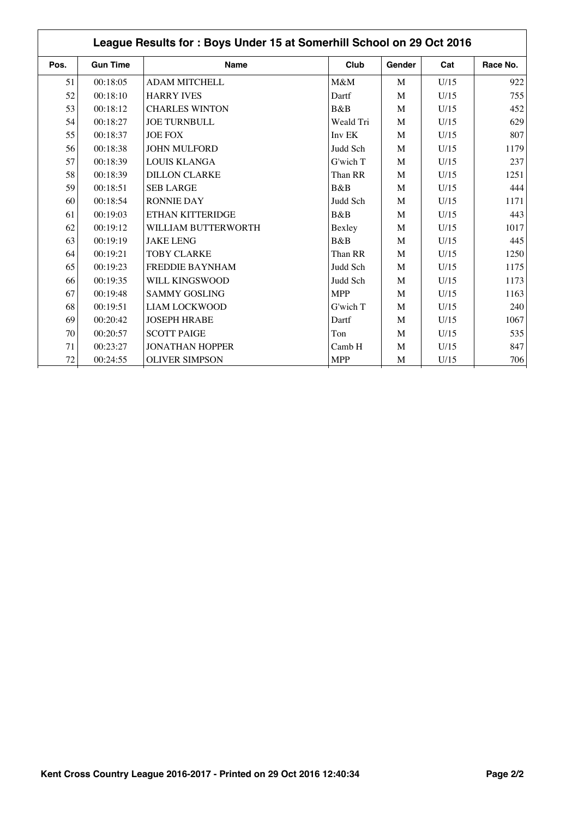| Pos.   | <b>Gun Time</b> | <b>Name</b>            | Club       | Gender | Cat  | Race No. |
|--------|-----------------|------------------------|------------|--------|------|----------|
| 51     | 00:18:05        | <b>ADAM MITCHELL</b>   | M&M        | M      | U/15 | 922      |
| 52     | 00:18:10        | <b>HARRY IVES</b>      | Dartf      | M      | U/15 | 755      |
| 53     | 00:18:12        | <b>CHARLES WINTON</b>  | B&B        | M      | U/15 | 452      |
| 54     | 00:18:27        | <b>JOE TURNBULL</b>    | Weald Tri  | M      | U/15 | 629      |
| 55     | 00:18:37        | <b>JOE FOX</b>         | Inv EK     | M      | U/15 | 807      |
| 56     | 00:18:38        | <b>JOHN MULFORD</b>    | Judd Sch   | M      | U/15 | 1179     |
| 57     | 00:18:39        | <b>LOUIS KLANGA</b>    | G'wich T   | M      | U/15 | 237      |
| 58     | 00:18:39        | <b>DILLON CLARKE</b>   | Than RR    | M      | U/15 | 1251     |
| 59     | 00:18:51        | <b>SEB LARGE</b>       | B&B        | M      | U/15 | 444      |
| 60     | 00:18:54        | <b>RONNIE DAY</b>      | Judd Sch   | M      | U/15 | 1171     |
| 61     | 00:19:03        | ETHAN KITTERIDGE       | B&B        | M      | U/15 | 443      |
| 62     | 00:19:12        | WILLIAM BUTTERWORTH    | Bexley     | M      | U/15 | 1017     |
| 63     | 00:19:19        | <b>JAKE LENG</b>       | B&B        | M      | U/15 | 445      |
| 64     | 00:19:21        | <b>TOBY CLARKE</b>     | Than RR    | M      | U/15 | 1250     |
| 65     | 00:19:23        | <b>FREDDIE BAYNHAM</b> | Judd Sch   | M      | U/15 | 1175     |
| 66     | 00:19:35        | WILL KINGSWOOD         | Judd Sch   | M      | U/15 | 1173     |
| 67     | 00:19:48        | <b>SAMMY GOSLING</b>   | <b>MPP</b> | M      | U/15 | 1163     |
| 68     | 00:19:51        | <b>LIAM LOCKWOOD</b>   | G'wich T   | M      | U/15 | 240      |
| 69     | 00:20:42        | <b>JOSEPH HRABE</b>    | Dartf      | M      | U/15 | 1067     |
| 70     | 00:20:57        | <b>SCOTT PAIGE</b>     | Ton        | M      | U/15 | 535      |
| 71     | 00:23:27        | <b>JONATHAN HOPPER</b> | Camb H     | M      | U/15 | 847      |
| $72\,$ | 00:24:55        | <b>OLIVER SIMPSON</b>  | <b>MPP</b> | M      | U/15 | 706      |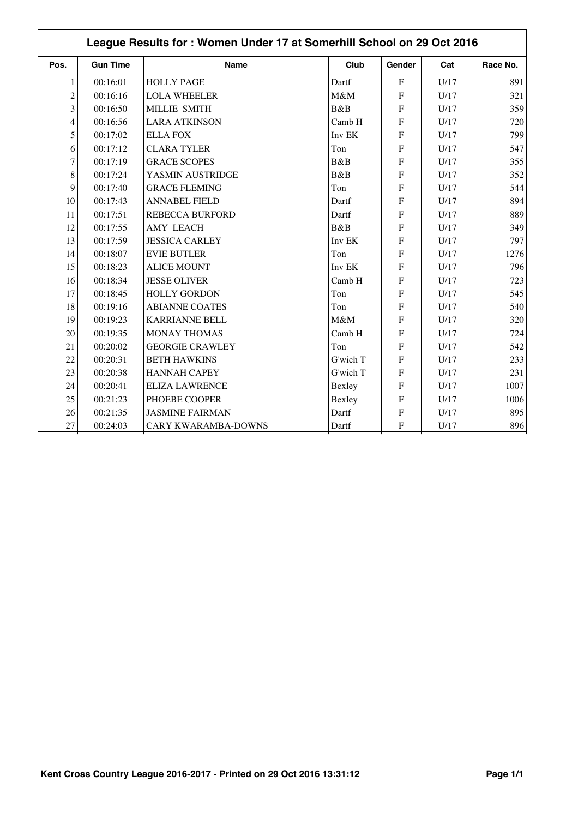|                | League Results for: Women Under 17 at Somerhill School on 29 Oct 2016 |                        |          |                |      |          |  |  |
|----------------|-----------------------------------------------------------------------|------------------------|----------|----------------|------|----------|--|--|
| Pos.           | <b>Gun Time</b>                                                       | <b>Name</b>            | Club     | Gender         | Cat  | Race No. |  |  |
| $\mathbf{1}$   | 00:16:01                                                              | <b>HOLLY PAGE</b>      | Dartf    | $\mathbf{F}$   | U/17 | 891      |  |  |
| $\overline{c}$ | 00:16:16                                                              | <b>LOLA WHEELER</b>    | M&M      | F              | U/17 | 321      |  |  |
| 3              | 00:16:50                                                              | MILLIE SMITH           | B&B      | $\overline{F}$ | U/17 | 359      |  |  |
| 4              | 00:16:56                                                              | <b>LARA ATKINSON</b>   | Camb H   | F              | U/17 | 720      |  |  |
| 5              | 00:17:02                                                              | <b>ELLA FOX</b>        | Inv EK   | $\overline{F}$ | U/17 | 799      |  |  |
| 6              | 00:17:12                                                              | <b>CLARA TYLER</b>     | Ton      | ${\bf F}$      | U/17 | 547      |  |  |
| 7              | 00:17:19                                                              | <b>GRACE SCOPES</b>    | B&B      | ${\bf F}$      | U/17 | 355      |  |  |
| 8              | 00:17:24                                                              | YASMIN AUSTRIDGE       | B&B      | F              | U/17 | 352      |  |  |
| 9              | 00:17:40                                                              | <b>GRACE FLEMING</b>   | Ton      | F              | U/17 | 544      |  |  |
| 10             | 00:17:43                                                              | <b>ANNABEL FIELD</b>   | Dartf    | F              | U/17 | 894      |  |  |
| 11             | 00:17:51                                                              | <b>REBECCA BURFORD</b> | Dartf    | F              | U/17 | 889      |  |  |
| 12             | 00:17:55                                                              | <b>AMY LEACH</b>       | B&B      | F              | U/17 | 349      |  |  |
| 13             | 00:17:59                                                              | <b>JESSICA CARLEY</b>  | Inv EK   | F              | U/17 | 797      |  |  |
| 14             | 00:18:07                                                              | <b>EVIE BUTLER</b>     | Ton      | $\mathbf{F}$   | U/17 | 1276     |  |  |
| 15             | 00:18:23                                                              | <b>ALICE MOUNT</b>     | Inv EK   | $\mathbf{F}$   | U/17 | 796      |  |  |
| 16             | 00:18:34                                                              | <b>JESSE OLIVER</b>    | Camb H   | $\mathbf{F}$   | U/17 | 723      |  |  |
| 17             | 00:18:45                                                              | <b>HOLLY GORDON</b>    | Ton      | F              | U/17 | 545      |  |  |
| 18             | 00:19:16                                                              | <b>ABIANNE COATES</b>  | Ton      | F              | U/17 | 540      |  |  |
| 19             | 00:19:23                                                              | <b>KARRIANNE BELL</b>  | M&M      | $\overline{F}$ | U/17 | 320      |  |  |
| 20             | 00:19:35                                                              | <b>MONAY THOMAS</b>    | Camb H   | $\overline{F}$ | U/17 | 724      |  |  |
| 21             | 00:20:02                                                              | <b>GEORGIE CRAWLEY</b> | Ton      | ${\bf F}$      | U/17 | 542      |  |  |
| 22             | 00:20:31                                                              | <b>BETH HAWKINS</b>    | G'wich T | F              | U/17 | 233      |  |  |
| 23             | 00:20:38                                                              | <b>HANNAH CAPEY</b>    | G'wich T | $\mathbf{F}$   | U/17 | 231      |  |  |
| 24             | 00:20:41                                                              | <b>ELIZA LAWRENCE</b>  | Bexley   | $\mathbf{F}$   | U/17 | 1007     |  |  |
| 25             | 00:21:23                                                              | PHOEBE COOPER          | Bexley   | $\overline{F}$ | U/17 | 1006     |  |  |
| 26             | 00:21:35                                                              | <b>JASMINE FAIRMAN</b> | Dartf    | F              | U/17 | 895      |  |  |
| 27             | 00:24:03                                                              | CARY KWARAMBA-DOWNS    | Dartf    | F              | U/17 | 896      |  |  |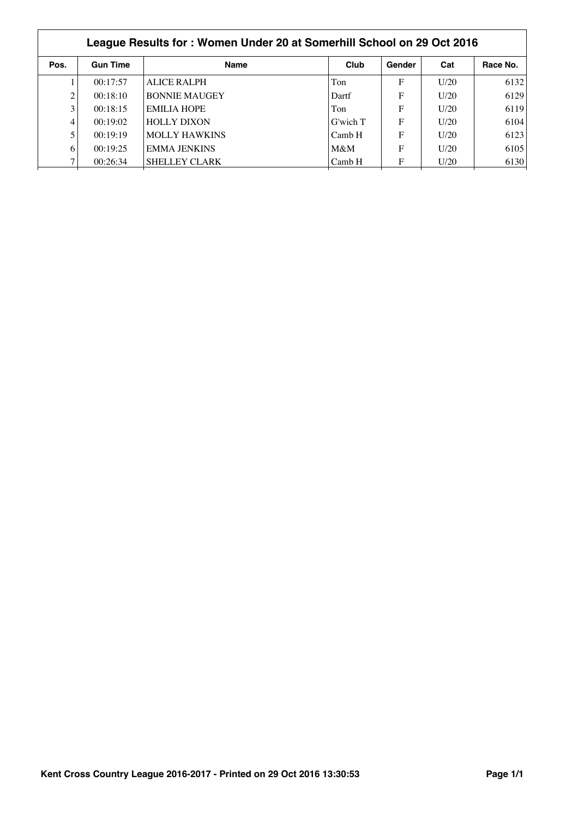| League Results for: Women Under 20 at Somerhill School on 29 Oct 2016 |                 |                      |          |        |      |          |  |  |
|-----------------------------------------------------------------------|-----------------|----------------------|----------|--------|------|----------|--|--|
| Pos.                                                                  | <b>Gun Time</b> | <b>Name</b>          | Club     | Gender | Cat  | Race No. |  |  |
|                                                                       | 00:17:57        | ALICE RALPH          | Ton      | F      | U/20 | 6132     |  |  |
|                                                                       | 00:18:10        | <b>BONNIE MAUGEY</b> | Dartf    | F      | U/20 | 6129     |  |  |
| 3                                                                     | 00:18:15        | <b>EMILIA HOPE</b>   | Ton      | F      | U/20 | 6119     |  |  |
| 4                                                                     | 00:19:02        | <b>HOLLY DIXON</b>   | G'wich T | F      | U/20 | 6104     |  |  |
|                                                                       | 00:19:19        | <b>MOLLY HAWKINS</b> | Camb H   | F      | U/20 | 6123     |  |  |
| 6                                                                     | 00:19:25        | <b>EMMA JENKINS</b>  | M&M      | F      | U/20 | 6105     |  |  |
|                                                                       | 00:26:34        | <b>SHELLEY CLARK</b> | Camb H   | F      | U/20 | 6130     |  |  |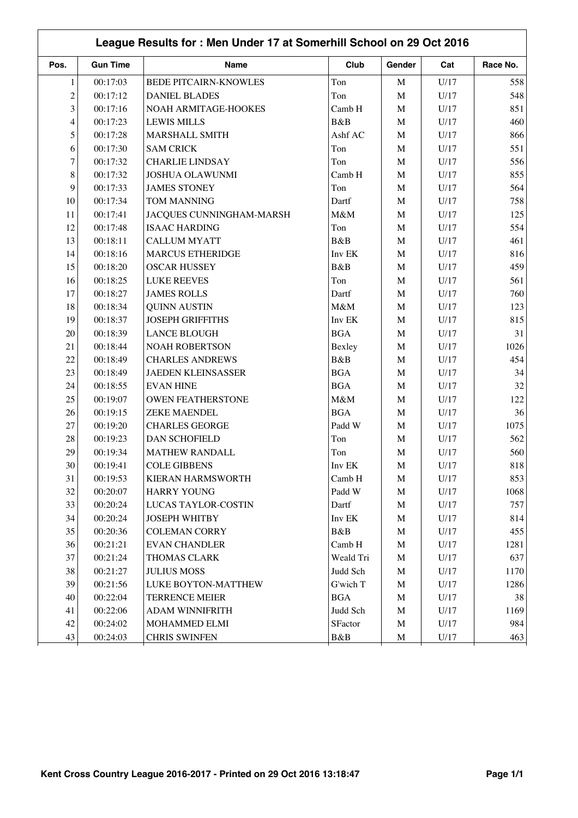|                | League Results for: Men Under 17 at Somerhill School on 29 Oct 2016 |                           |            |             |      |          |  |  |
|----------------|---------------------------------------------------------------------|---------------------------|------------|-------------|------|----------|--|--|
| Pos.           | <b>Gun Time</b>                                                     | Name                      | Club       | Gender      | Cat  | Race No. |  |  |
| $\mathbf{1}$   | 00:17:03                                                            | BEDE PITCAIRN-KNOWLES     | Ton        | $\mathbf M$ | U/17 | 558      |  |  |
| $\overline{c}$ | 00:17:12                                                            | <b>DANIEL BLADES</b>      | Ton        | $\mathbf M$ | U/17 | 548      |  |  |
| 3              | 00:17:16                                                            | NOAH ARMITAGE-HOOKES      | Camb H     | $\mathbf M$ | U/17 | 851      |  |  |
| $\overline{4}$ | 00:17:23                                                            | <b>LEWIS MILLS</b>        | B&B        | M           | U/17 | 460      |  |  |
| 5              | 00:17:28                                                            | <b>MARSHALL SMITH</b>     | Ashf AC    | $\mathbf M$ | U/17 | 866      |  |  |
| 6              | 00:17:30                                                            | <b>SAM CRICK</b>          | Ton        | $\mathbf M$ | U/17 | 551      |  |  |
| $\tau$         | 00:17:32                                                            | <b>CHARLIE LINDSAY</b>    | Ton        | $\mathbf M$ | U/17 | 556      |  |  |
| 8              | 00:17:32                                                            | <b>JOSHUA OLAWUNMI</b>    | Camb H     | $\mathbf M$ | U/17 | 855      |  |  |
| 9              | 00:17:33                                                            | <b>JAMES STONEY</b>       | Ton        | $\mathbf M$ | U/17 | 564      |  |  |
| 10             | 00:17:34                                                            | TOM MANNING               | Dartf      | $\mathbf M$ | U/17 | 758      |  |  |
| 11             | 00:17:41                                                            | JACQUES CUNNINGHAM-MARSH  | M&M        | $\mathbf M$ | U/17 | 125      |  |  |
| 12             | 00:17:48                                                            | <b>ISAAC HARDING</b>      | Ton        | $\mathbf M$ | U/17 | 554      |  |  |
| 13             | 00:18:11                                                            | CALLUM MYATT              | B&B        | $\mathbf M$ | U/17 | 461      |  |  |
| 14             | 00:18:16                                                            | <b>MARCUS ETHERIDGE</b>   | Inv EK     | $\mathbf M$ | U/17 | 816      |  |  |
| 15             | 00:18:20                                                            | <b>OSCAR HUSSEY</b>       | B&B        | $\mathbf M$ | U/17 | 459      |  |  |
| 16             | 00:18:25                                                            | <b>LUKE REEVES</b>        | Ton        | $\mathbf M$ | U/17 | 561      |  |  |
| 17             | 00:18:27                                                            | <b>JAMES ROLLS</b>        | Dartf      | $\mathbf M$ | U/17 | 760      |  |  |
| 18             | 00:18:34                                                            | <b>QUINN AUSTIN</b>       | $M\&M$     | $\mathbf M$ | U/17 | 123      |  |  |
| 19             | 00:18:37                                                            | <b>JOSEPH GRIFFITHS</b>   | Inv EK     | $\mathbf M$ | U/17 | 815      |  |  |
| 20             | 00:18:39                                                            | <b>LANCE BLOUGH</b>       | <b>BGA</b> | $\mathbf M$ | U/17 | 31       |  |  |
| 21             | 00:18:44                                                            | <b>NOAH ROBERTSON</b>     | Bexley     | $\mathbf M$ | U/17 | 1026     |  |  |
| 22             | 00:18:49                                                            | <b>CHARLES ANDREWS</b>    | B&B        | $\mathbf M$ | U/17 | 454      |  |  |
| 23             | 00:18:49                                                            | <b>JAEDEN KLEINSASSER</b> | <b>BGA</b> | $\mathbf M$ | U/17 | 34       |  |  |
| 24             | 00:18:55                                                            | <b>EVAN HINE</b>          | BGA        | $\mathbf M$ | U/17 | 32       |  |  |
| 25             | 00:19:07                                                            | <b>OWEN FEATHERSTONE</b>  | $M\&M$     | $\mathbf M$ | U/17 | 122      |  |  |
| 26             | 00:19:15                                                            | <b>ZEKE MAENDEL</b>       | <b>BGA</b> | M           | U/17 | 36       |  |  |
| 27             | 00:19:20                                                            | <b>CHARLES GEORGE</b>     | Padd W     | $\mathbf M$ | U/17 | 1075     |  |  |
| 28             | 00:19:23                                                            | <b>DAN SCHOFIELD</b>      | Ton        | $\mathbf M$ | U/17 | 562      |  |  |
| 29             | 00:19:34                                                            | <b>MATHEW RANDALL</b>     | Ton        | $\mathbf M$ | U/17 | 560      |  |  |
| 30             | 00:19:41                                                            | <b>COLE GIBBENS</b>       | Inv EK     | M           | U/17 | 818      |  |  |
| 31             | 00:19:53                                                            | KIERAN HARMSWORTH         | Camb H     | M           | U/17 | 853      |  |  |
| 32             | 00:20:07                                                            | <b>HARRY YOUNG</b>        | Padd W     | $\mathbf M$ | U/17 | 1068     |  |  |
| 33             | 00:20:24                                                            | LUCAS TAYLOR-COSTIN       | Dartf      | $\mathbf M$ | U/17 | 757      |  |  |
| 34             | 00:20:24                                                            | <b>JOSEPH WHITBY</b>      | Inv EK     | $\mathbf M$ | U/17 | 814      |  |  |
| 35             | 00:20:36                                                            | <b>COLEMAN CORRY</b>      | B&B        | $\mathbf M$ | U/17 | 455      |  |  |
| 36             | 00:21:21                                                            | <b>EVAN CHANDLER</b>      | Camb H     | $\mathbf M$ | U/17 | 1281     |  |  |
| 37             | 00:21:24                                                            | THOMAS CLARK              | Weald Tri  | $\mathbf M$ | U/17 | 637      |  |  |
| 38             | 00:21:27                                                            | <b>JULIUS MOSS</b>        | Judd Sch   | $\mathbf M$ | U/17 | 1170     |  |  |
| 39             | 00:21:56                                                            | LUKE BOYTON-MATTHEW       | G'wich T   | $\mathbf M$ | U/17 | 1286     |  |  |
| 40             | 00:22:04                                                            | <b>TERRENCE MEIER</b>     | <b>BGA</b> | $\mathbf M$ | U/17 | 38       |  |  |
| 41             | 00:22:06                                                            | ADAM WINNIFRITH           | Judd Sch   | $\mathbf M$ | U/17 | 1169     |  |  |
| 42             | 00:24:02                                                            | MOHAMMED ELMI             | SFactor    | $\mathbf M$ | U/17 | 984      |  |  |
| 43             | 00:24:03                                                            | <b>CHRIS SWINFEN</b>      | B&B        | M           | U/17 | 463      |  |  |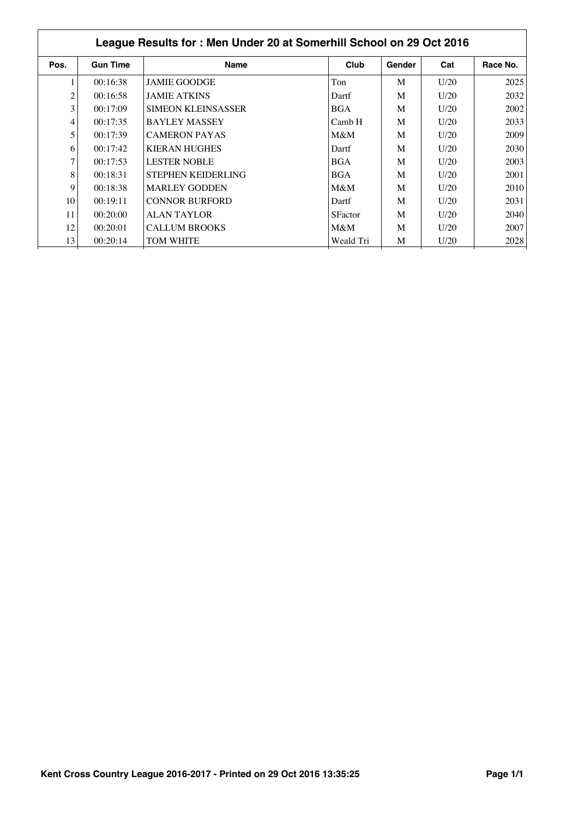|      | League Results for: Men Under 20 at Somerhill School on 29 Oct 2016 |                           |                |        |      |          |  |  |  |
|------|---------------------------------------------------------------------|---------------------------|----------------|--------|------|----------|--|--|--|
| Pos. | <b>Gun Time</b>                                                     | <b>Name</b>               | Club           | Gender | Cat  | Race No. |  |  |  |
|      | 00:16:38                                                            | <b>JAMIE GOODGE</b>       | Ton            | M      | U/20 | 2025     |  |  |  |
| 2    | 00:16:58                                                            | <b>JAMIE ATKINS</b>       | Dartf          | M      | U/20 | 2032     |  |  |  |
| 3    | 00:17:09                                                            | <b>SIMEON KLEINSASSER</b> | <b>BGA</b>     | M      | U/20 | 2002     |  |  |  |
| 4    | 00:17:35                                                            | <b>BAYLEY MASSEY</b>      | Camb H         | M      | U/20 | 2033     |  |  |  |
| 5    | 00:17:39                                                            | <b>CAMERON PAYAS</b>      | $M\&M$         | M      | U/20 | 2009     |  |  |  |
| 6    | 00:17:42                                                            | <b>KIERAN HUGHES</b>      | Dartf          | M      | U/20 | 2030     |  |  |  |
| 7    | 00:17:53                                                            | <b>LESTER NOBLE</b>       | <b>BGA</b>     | M      | U/20 | 2003     |  |  |  |
| 8    | 00:18:31                                                            | <b>STEPHEN KEIDERLING</b> | <b>BGA</b>     | M      | U/20 | 2001     |  |  |  |
| 9    | 00:18:38                                                            | <b>MARLEY GODDEN</b>      | $M\&M$         | M      | U/20 | 2010     |  |  |  |
| 10   | 00:19:11                                                            | <b>CONNOR BURFORD</b>     | Dartf          | M      | U/20 | 2031     |  |  |  |
| 11   | 00:20:00                                                            | ALAN TAYLOR               | <b>SFactor</b> | M      | U/20 | 2040     |  |  |  |
| 12   | 00:20:01                                                            | <b>CALLUM BROOKS</b>      | $M\&M$         | M      | U/20 | 2007     |  |  |  |
| 13   | 00:20:14                                                            | <b>TOM WHITE</b>          | Weald Tri      | M      | U/20 | 2028     |  |  |  |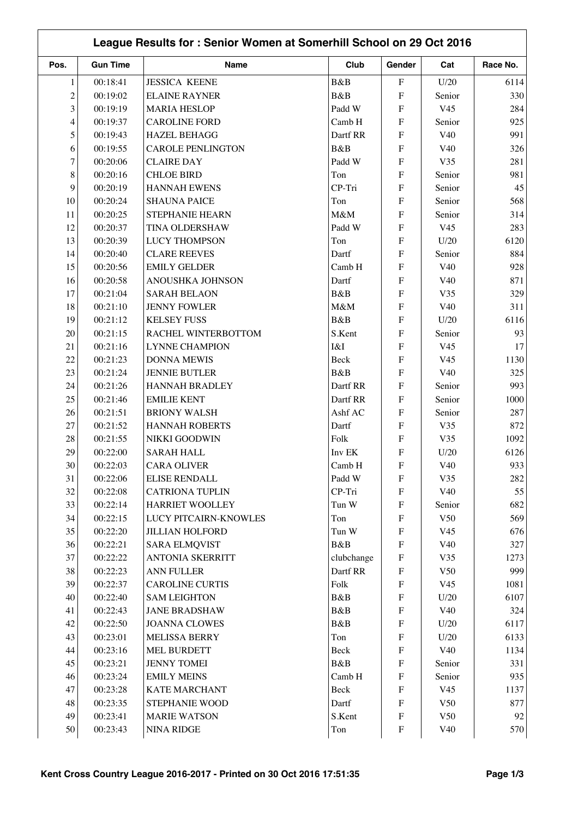|                | League Results for: Senior Women at Somerhill School on 29 Oct 2016 |                          |            |                           |                 |          |  |  |
|----------------|---------------------------------------------------------------------|--------------------------|------------|---------------------------|-----------------|----------|--|--|
| Pos.           | <b>Gun Time</b>                                                     | Name                     | Club       | Gender                    | Cat             | Race No. |  |  |
| 1              | 00:18:41                                                            | <b>JESSICA KEENE</b>     | B&B        | $\boldsymbol{\mathrm{F}}$ | U/20            | 6114     |  |  |
| $\overline{c}$ | 00:19:02                                                            | <b>ELAINE RAYNER</b>     | B&B        | F                         | Senior          | 330      |  |  |
| 3              | 00:19:19                                                            | <b>MARIA HESLOP</b>      | Padd W     | F                         | V <sub>45</sub> | 284      |  |  |
| 4              | 00:19:37                                                            | <b>CAROLINE FORD</b>     | Camb H     | ${\bf F}$                 | Senior          | 925      |  |  |
| 5              | 00:19:43                                                            | <b>HAZEL BEHAGG</b>      | Dartf RR   | ${\bf F}$                 | V40             | 991      |  |  |
| 6              | 00:19:55                                                            | <b>CAROLE PENLINGTON</b> | B&B        | F                         | V40             | 326      |  |  |
| 7              | 00:20:06                                                            | <b>CLAIRE DAY</b>        | Padd W     | ${\bf F}$                 | V35             | 281      |  |  |
| 8              | 00:20:16                                                            | <b>CHLOE BIRD</b>        | Ton        | ${\bf F}$                 | Senior          | 981      |  |  |
| 9              | 00:20:19                                                            | <b>HANNAH EWENS</b>      | CP-Tri     | F                         | Senior          | 45       |  |  |
| 10             | 00:20:24                                                            | <b>SHAUNA PAICE</b>      | Ton        | $\overline{F}$            | Senior          | 568      |  |  |
| 11             | 00:20:25                                                            | STEPHANIE HEARN          | M&M        | F                         | Senior          | 314      |  |  |
| 12             | 00:20:37                                                            | TINA OLDERSHAW           | Padd W     | ${\bf F}$                 | V <sub>45</sub> | 283      |  |  |
| 13             | 00:20:39                                                            | <b>LUCY THOMPSON</b>     | Ton        | ${\bf F}$                 | U/20            | 6120     |  |  |
| 14             | 00:20:40                                                            | <b>CLARE REEVES</b>      | Dartf      | ${\bf F}$                 | Senior          | 884      |  |  |
| 15             | 00:20:56                                                            | <b>EMILY GELDER</b>      | Camb H     | F                         | V40             | 928      |  |  |
| 16             | 00:20:58                                                            | ANOUSHKA JOHNSON         | Dartf      | F                         | V40             | 871      |  |  |
| 17             | 00:21:04                                                            | <b>SARAH BELAON</b>      | B&B        | F                         | V35             | 329      |  |  |
| 18             | 00:21:10                                                            | <b>JENNY FOWLER</b>      | M&M        | F                         | V40             | 311      |  |  |
| 19             | 00:21:12                                                            | <b>KELSEY FUSS</b>       | B&B        | ${\bf F}$                 | U/20            | 6116     |  |  |
| 20             | 00:21:15                                                            | RACHEL WINTERBOTTOM      | S.Kent     | F                         | Senior          | 93       |  |  |
| 21             | 00:21:16                                                            | <b>LYNNE CHAMPION</b>    | I&I        | F                         | V <sub>45</sub> | 17       |  |  |
| 22             | 00:21:23                                                            | <b>DONNA MEWIS</b>       | Beck       | F                         | V <sub>45</sub> | 1130     |  |  |
| 23             | 00:21:24                                                            | <b>JENNIE BUTLER</b>     | B&B        | ${\bf F}$                 | V40             | 325      |  |  |
| 24             | 00:21:26                                                            | <b>HANNAH BRADLEY</b>    | Dartf RR   | ${\bf F}$                 | Senior          | 993      |  |  |
| 25             | 00:21:46                                                            | <b>EMILIE KENT</b>       | Dartf RR   | ${\bf F}$                 | Senior          | 1000     |  |  |
| 26             | 00:21:51                                                            | <b>BRIONY WALSH</b>      | Ashf AC    | F                         | Senior          | 287      |  |  |
| 27             | 00:21:52                                                            | <b>HANNAH ROBERTS</b>    | Dartf      | ${\bf F}$                 | V35             | 872      |  |  |
| 28             | 00:21:55                                                            | NIKKI GOODWIN            | Folk       | ${\bf F}$                 | V35             | 1092     |  |  |
| 29             | 00:22:00                                                            | <b>SARAH HALL</b>        | Inv EK     | F                         | U/20            | 6126     |  |  |
| $30\,$         | 00:22:03                                                            | <b>CARA OLIVER</b>       | Camb H     | $\boldsymbol{F}$          | V40             | 933      |  |  |
| 31             | 00:22:06                                                            | ELISE RENDALL            | Padd W     | F                         | V35             | 282      |  |  |
| 32             | 00:22:08                                                            | <b>CATRIONA TUPLIN</b>   | CP-Tri     | $\boldsymbol{\mathrm{F}}$ | V40             | 55       |  |  |
| 33             | 00:22:14                                                            | HARRIET WOOLLEY          | Tun W      | ${\rm F}$                 | Senior          | 682      |  |  |
| 34             | 00:22:15                                                            | LUCY PITCAIRN-KNOWLES    | Ton        | ${\bf F}$                 | V50             | 569      |  |  |
| 35             | 00:22:20                                                            | <b>JILLIAN HOLFORD</b>   | Tun W      | ${\rm F}$                 | V <sub>45</sub> | 676      |  |  |
| 36             | 00:22:21                                                            | <b>SARA ELMQVIST</b>     | B&B        | ${\rm F}$                 | V40             | 327      |  |  |
| 37             | 00:22:22                                                            | <b>ANTONIA SKERRITT</b>  | clubchange | ${\rm F}$                 | V35             | 1273     |  |  |
| 38             | 00:22:23                                                            | ANN FULLER               | Dartf RR   | ${\rm F}$                 | V50             | 999      |  |  |
| 39             | 00:22:37                                                            | <b>CAROLINE CURTIS</b>   | Folk       | ${\rm F}$                 | V <sub>45</sub> | 1081     |  |  |
| 40             | 00:22:40                                                            | <b>SAM LEIGHTON</b>      | B&B        | F                         | U/20            | 6107     |  |  |
| 41             | 00:22:43                                                            | <b>JANE BRADSHAW</b>     | B&B        | ${\bf F}$                 | V40             | 324      |  |  |
| 42             | 00:22:50                                                            | <b>JOANNA CLOWES</b>     | B&B        | ${\bf F}$                 | U/20            | 6117     |  |  |
| 43             | 00:23:01                                                            | <b>MELISSA BERRY</b>     | Ton        | ${\bf F}$                 | U/20            | 6133     |  |  |
| 44             | 00:23:16                                                            | <b>MEL BURDETT</b>       | Beck       | ${\rm F}$                 | V40             | 1134     |  |  |
| 45             | 00:23:21                                                            | <b>JENNY TOMEI</b>       | B&B        | ${\rm F}$                 | Senior          | 331      |  |  |
| 46             | 00:23:24                                                            | <b>EMILY MEINS</b>       | Camb H     | ${\bf F}$                 | Senior          | 935      |  |  |
| 47             | 00:23:28                                                            | <b>KATE MARCHANT</b>     | Beck       | $\boldsymbol{\mathrm{F}}$ | V <sub>45</sub> | 1137     |  |  |
| 48             | 00:23:35                                                            | STEPHANIE WOOD           | Dartf      | ${\bf F}$                 | V50             | 877      |  |  |
| 49             | 00:23:41                                                            | <b>MARIE WATSON</b>      | S.Kent     | $\mathbf F$               | V50             | 92       |  |  |
| 50             | 00:23:43                                                            | <b>NINA RIDGE</b>        | Ton        | ${\bf F}$                 | V40             | 570      |  |  |
|                |                                                                     |                          |            |                           |                 |          |  |  |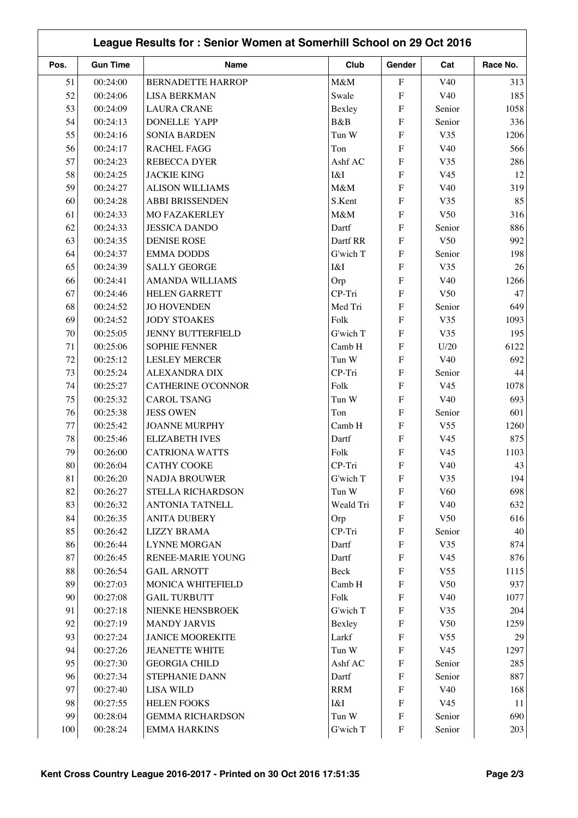| League Results for: Senior Women at Somerhill School on 29 Oct 2016 |                 |                           |            |                           |                 |          |
|---------------------------------------------------------------------|-----------------|---------------------------|------------|---------------------------|-----------------|----------|
| Pos.                                                                | <b>Gun Time</b> | Name                      | Club       | Gender                    | Cat             | Race No. |
| 51                                                                  | 00:24:00        | <b>BERNADETTE HARROP</b>  | M&M        | $\boldsymbol{\mathrm{F}}$ | V <sub>40</sub> | 313      |
| 52                                                                  | 00:24:06        | <b>LISA BERKMAN</b>       | Swale      | F                         | V40             | 185      |
| 53                                                                  | 00:24:09        | <b>LAURA CRANE</b>        | Bexley     | ${\bf F}$                 | Senior          | 1058     |
| 54                                                                  | 00:24:13        | <b>DONELLE YAPP</b>       | B&B        | ${\bf F}$                 | Senior          | 336      |
| 55                                                                  | 00:24:16        | <b>SONIA BARDEN</b>       | Tun W      | ${\bf F}$                 | V35             | 1206     |
| 56                                                                  | 00:24:17        | <b>RACHEL FAGG</b>        | Ton        | ${\bf F}$                 | V40             | 566      |
| 57                                                                  | 00:24:23        | <b>REBECCA DYER</b>       | Ashf AC    | ${\bf F}$                 | V35             | 286      |
| 58                                                                  | 00:24:25        | <b>JACKIE KING</b>        | I&I        | ${\bf F}$                 | V <sub>45</sub> | 12       |
| 59                                                                  | 00:24:27        | <b>ALISON WILLIAMS</b>    | M&M        | $\overline{F}$            | V40             | 319      |
| 60                                                                  | 00:24:28        | <b>ABBI BRISSENDEN</b>    | S.Kent     | $\overline{F}$            | V35             | 85       |
| 61                                                                  | 00:24:33        | <b>MO FAZAKERLEY</b>      | M&M        | F                         | V50             | 316      |
| 62                                                                  | 00:24:33        | <b>JESSICA DANDO</b>      | Dartf      | ${\bf F}$                 | Senior          | 886      |
| 63                                                                  | 00:24:35        | <b>DENISE ROSE</b>        | Dartf RR   | ${\bf F}$                 | V50             | 992      |
| 64                                                                  | 00:24:37        | <b>EMMA DODDS</b>         | G'wich T   | ${\bf F}$                 | Senior          | 198      |
| 65                                                                  | 00:24:39        | <b>SALLY GEORGE</b>       | I&I        | ${\bf F}$                 | V35             | 26       |
| 66                                                                  | 00:24:41        | <b>AMANDA WILLIAMS</b>    | Orp        | F                         | V40             | 1266     |
| 67                                                                  | 00:24:46        | <b>HELEN GARRETT</b>      | CP-Tri     | F                         | V50             | 47       |
| 68                                                                  | 00:24:52        | <b>JO HOVENDEN</b>        | Med Tri    | F                         | Senior          | 649      |
| 69                                                                  | 00:24:52        | <b>JODY STOAKES</b>       | Folk       | ${\bf F}$                 | V35             | 1093     |
| 70                                                                  | 00:25:05        | <b>JENNY BUTTERFIELD</b>  | G'wich T   | F                         | V35             | 195      |
| 71                                                                  | 00:25:06        | <b>SOPHIE FENNER</b>      | Camb H     | ${\bf F}$                 | U/20            | 6122     |
| 72                                                                  | 00:25:12        | <b>LESLEY MERCER</b>      | Tun W      | ${\bf F}$                 | V40             | 692      |
| 73                                                                  | 00:25:24        | <b>ALEXANDRA DIX</b>      | CP-Tri     | ${\bf F}$                 | Senior          | 44       |
| 74                                                                  | 00:25:27        | <b>CATHERINE O'CONNOR</b> | Folk       | ${\bf F}$                 | V <sub>45</sub> | 1078     |
| 75                                                                  | 00:25:32        | <b>CAROL TSANG</b>        | Tun W      | ${\bf F}$                 | V40             | 693      |
| 76                                                                  | 00:25:38        | <b>JESS OWEN</b>          | Ton        | F                         | Senior          | 601      |
| 77                                                                  | 00:25:42        | <b>JOANNE MURPHY</b>      | Camb H     | ${\bf F}$                 | V <sub>55</sub> | 1260     |
| 78                                                                  | 00:25:46        | <b>ELIZABETH IVES</b>     | Dartf      | ${\bf F}$                 | V <sub>45</sub> | 875      |
| 79                                                                  | 00:26:00        | <b>CATRIONA WATTS</b>     | Folk       | F                         | V <sub>45</sub> | 1103     |
| $80\,$                                                              | 00:26:04        | <b>CATHY COOKE</b>        | $CP-Tri$   | ${\bf F}$                 | V40             | 43       |
| 81                                                                  | 00:26:20        | <b>NADJA BROUWER</b>      | G'wich T   | F                         | V35             | 194      |
| 82                                                                  | 00:26:27        | STELLA RICHARDSON         | Tun W      | ${\rm F}$                 | V60             | 698      |
| 83                                                                  | 00:26:32        | <b>ANTONIA TATNELL</b>    | Weald Tri  | ${\rm F}$                 | V40             | 632      |
| 84                                                                  | 00:26:35        | <b>ANITA DUBERY</b>       | Orp        | ${\bf F}$                 | V50             | 616      |
| 85                                                                  | 00:26:42        | <b>LIZZY BRAMA</b>        | CP-Tri     | ${\bf F}$                 | Senior          | 40       |
| 86                                                                  | 00:26:44        | <b>LYNNE MORGAN</b>       | Dartf      | ${\rm F}$                 | V35             | 874      |
| 87                                                                  | 00:26:45        | RENEE-MARIE YOUNG         | Dartf      | ${\rm F}$                 | V <sub>45</sub> | 876      |
| 88                                                                  | 00:26:54        | <b>GAIL ARNOTT</b>        | Beck       | ${\rm F}$                 | V <sub>55</sub> | 1115     |
| 89                                                                  | 00:27:03        | MONICA WHITEFIELD         | Camb H     | ${\rm F}$                 | V50             | 937      |
| 90                                                                  | 00:27:08        | <b>GAIL TURBUTT</b>       | Folk       | ${\rm F}$                 | V40             | 1077     |
| 91                                                                  | 00:27:18        | NIENKE HENSBROEK          | G'wich T   | ${\bf F}$                 | V35             | 204      |
| 92                                                                  | 00:27:19        | <b>MANDY JARVIS</b>       | Bexley     | ${\bf F}$                 | V50             | 1259     |
| 93                                                                  | 00:27:24        | <b>JANICE MOOREKITE</b>   | Larkf      | ${\bf F}$                 | V <sub>55</sub> | 29       |
| 94                                                                  | 00:27:26        | <b>JEANETTE WHITE</b>     | Tun W      | ${\bf F}$                 | V <sub>45</sub> | 1297     |
| 95                                                                  | 00:27:30        | <b>GEORGIA CHILD</b>      | Ashf AC    | ${\bf F}$                 | Senior          | 285      |
| 96                                                                  | 00:27:34        | STEPHANIE DANN            | Dartf      | ${\bf F}$                 | Senior          | 887      |
| 97                                                                  | 00:27:40        | <b>LISA WILD</b>          | <b>RRM</b> | ${\bf F}$                 | V40             | 168      |
| 98                                                                  | 00:27:55        | <b>HELEN FOOKS</b>        | I&I        | ${\bf F}$                 | V <sub>45</sub> | 11       |
| 99                                                                  | 00:28:04        | <b>GEMMA RICHARDSON</b>   | Tun W      | $\boldsymbol{\mathrm{F}}$ | Senior          | 690      |
| 100                                                                 | 00:28:24        | <b>EMMA HARKINS</b>       | G'wich T   | ${\bf F}$                 | Senior          | 203      |
|                                                                     |                 |                           |            |                           |                 |          |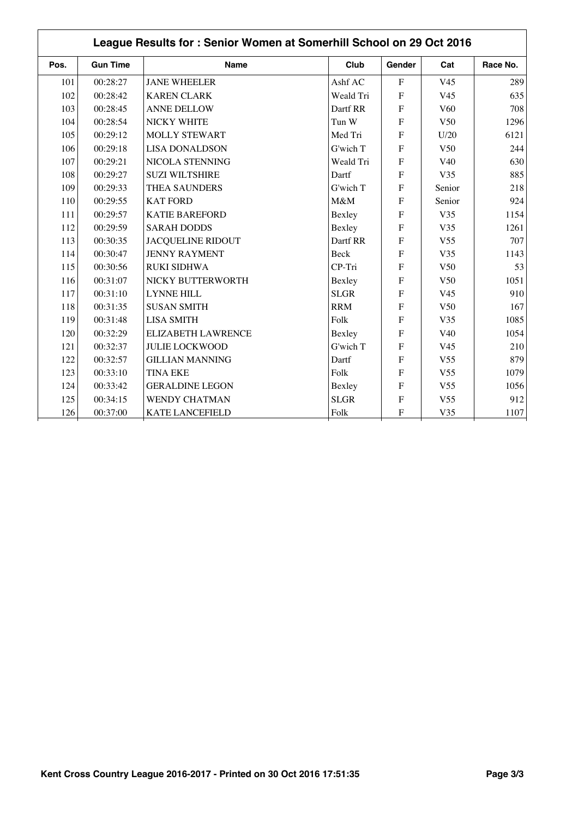| League Results for: Senior Women at Somerhill School on 29 Oct 2016 |                 |                          |             |                |                 |          |
|---------------------------------------------------------------------|-----------------|--------------------------|-------------|----------------|-----------------|----------|
| Pos.                                                                | <b>Gun Time</b> | <b>Name</b>              | Club        | Gender         | Cat             | Race No. |
| 101                                                                 | 00:28:27        | <b>JANE WHEELER</b>      | Ashf AC     | $\mathbf F$    | V <sub>45</sub> | 289      |
| 102                                                                 | 00:28:42        | <b>KAREN CLARK</b>       | Weald Tri   | $\overline{F}$ | V <sub>45</sub> | 635      |
| 103                                                                 | 00:28:45        | <b>ANNE DELLOW</b>       | Dartf RR    | $\overline{F}$ | V <sub>60</sub> | 708      |
| 104                                                                 | 00:28:54        | NICKY WHITE              | Tun W       | $\overline{F}$ | V <sub>50</sub> | 1296     |
| 105                                                                 | 00:29:12        | <b>MOLLY STEWART</b>     | Med Tri     | $\overline{F}$ | U/20            | 6121     |
| 106                                                                 | 00:29:18        | <b>LISA DONALDSON</b>    | G'wich T    | $\overline{F}$ | V <sub>50</sub> | 244      |
| 107                                                                 | 00:29:21        | NICOLA STENNING          | Weald Tri   | $\mathbf{F}$   | V <sub>40</sub> | 630      |
| 108                                                                 | 00:29:27        | <b>SUZI WILTSHIRE</b>    | Dartf       | $\overline{F}$ | V35             | 885      |
| 109                                                                 | 00:29:33        | THEA SAUNDERS            | G'wich T    | F              | Senior          | 218      |
| 110                                                                 | 00:29:55        | <b>KAT FORD</b>          | M&M         | $\overline{F}$ | Senior          | 924      |
| 111                                                                 | 00:29:57        | <b>KATIE BAREFORD</b>    | Bexley      | $\overline{F}$ | V35             | 1154     |
| 112                                                                 | 00:29:59        | <b>SARAH DODDS</b>       | Bexley      | $\overline{F}$ | V35             | 1261     |
| 113                                                                 | 00:30:35        | <b>JACQUELINE RIDOUT</b> | Dartf RR    | $\overline{F}$ | V <sub>55</sub> | 707      |
| 114                                                                 | 00:30:47        | <b>JENNY RAYMENT</b>     | Beck        | $\overline{F}$ | V35             | 1143     |
| 115                                                                 | 00:30:56        | <b>RUKI SIDHWA</b>       | CP-Tri      | $\mathbf{F}$   | V <sub>50</sub> | 53       |
| 116                                                                 | 00:31:07        | NICKY BUTTERWORTH        | Bexley      | $\overline{F}$ | V <sub>50</sub> | 1051     |
| 117                                                                 | 00:31:10        | <b>LYNNE HILL</b>        | <b>SLGR</b> | $\mathbf{F}$   | V <sub>45</sub> | 910      |
| 118                                                                 | 00:31:35        | <b>SUSAN SMITH</b>       | <b>RRM</b>  | $\overline{F}$ | V <sub>50</sub> | 167      |
| 119                                                                 | 00:31:48        | <b>LISA SMITH</b>        | Folk        | $\mathbf{F}$   | V35             | 1085     |
| 120                                                                 | 00:32:29        | ELIZABETH LAWRENCE       | Bexley      | F              | V40             | 1054     |
| 121                                                                 | 00:32:37        | <b>JULIE LOCKWOOD</b>    | G'wich T    | $\mathbf{F}$   | V <sub>45</sub> | 210      |
| 122                                                                 | 00:32:57        | <b>GILLIAN MANNING</b>   | Dartf       | $\overline{F}$ | V <sub>55</sub> | 879      |
| 123                                                                 | 00:33:10        | <b>TINA EKE</b>          | Folk        | F              | V <sub>55</sub> | 1079     |
| 124                                                                 | 00:33:42        | <b>GERALDINE LEGON</b>   | Bexley      | F              | V <sub>55</sub> | 1056     |
| 125                                                                 | 00:34:15        | <b>WENDY CHATMAN</b>     | <b>SLGR</b> | $\overline{F}$ | V <sub>55</sub> | 912      |
| 126                                                                 | 00:37:00        | <b>KATE LANCEFIELD</b>   | Folk        | ${\bf F}$      | V35             | 1107     |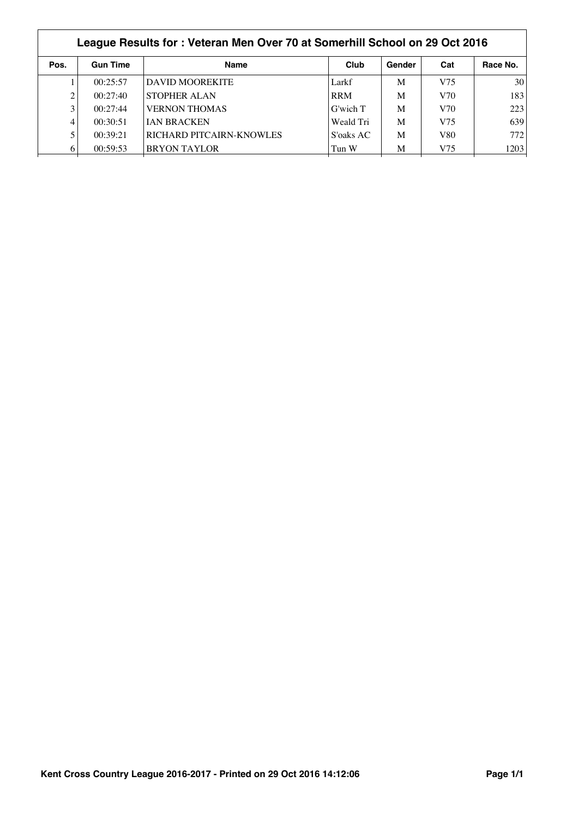|      | League Results for: Veteran Men Over 70 at Somerhill School on 29 Oct 2016 |                                 |            |        |     |                 |  |
|------|----------------------------------------------------------------------------|---------------------------------|------------|--------|-----|-----------------|--|
| Pos. | <b>Gun Time</b>                                                            | <b>Name</b>                     | Club       | Gender | Cat | Race No.        |  |
|      | 00:25:57                                                                   | DAVID MOOREKITE                 | Larkf      | M      | V75 | 30 <sup>1</sup> |  |
|      | 00:27:40                                                                   | <b>STOPHER ALAN</b>             | <b>RRM</b> | M      | V70 | 183             |  |
| 3    | 00:27:44                                                                   | <b>VERNON THOMAS</b>            | G'wich T   | M      | V70 | 223             |  |
| 4    | 00:30:51                                                                   | <b>JAN BRACKEN</b>              | Weald Tri  | M      | V75 | 639             |  |
|      | 00:39:21                                                                   | <b>RICHARD PITCAIRN-KNOWLES</b> | S'oaks AC  | M      | V80 | 772             |  |
| 6    | 00:59:53                                                                   | <b>BRYON TAYLOR</b>             | Tun W      | M      | V75 | 1203            |  |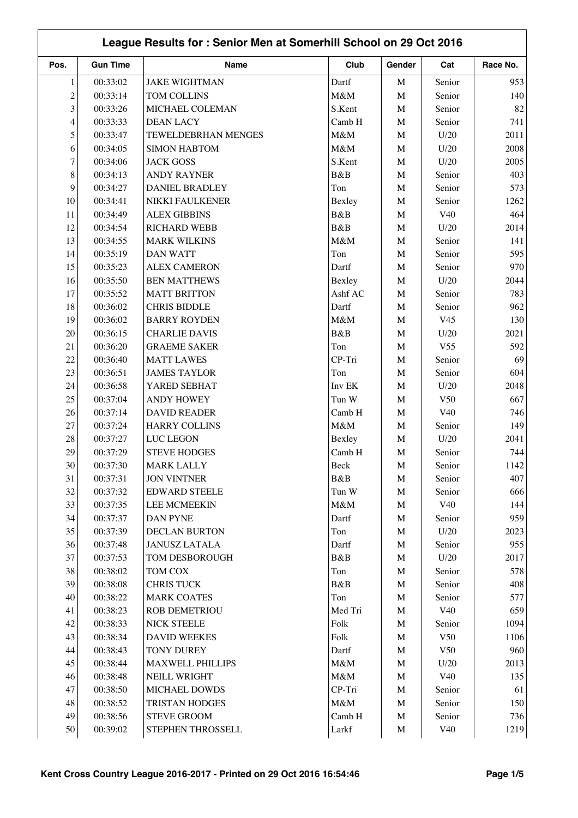|                | League Results for: Senior Men at Somerhill School on 29 Oct 2016 |                         |         |             |                 |          |
|----------------|-------------------------------------------------------------------|-------------------------|---------|-------------|-----------------|----------|
| Pos.           | <b>Gun Time</b>                                                   | Name                    | Club    | Gender      | Cat             | Race No. |
| 1              | 00:33:02                                                          | <b>JAKE WIGHTMAN</b>    | Dartf   | $\mathbf M$ | Senior          | 953      |
| $\overline{c}$ | 00:33:14                                                          | <b>TOM COLLINS</b>      | M&M     | $\mathbf M$ | Senior          | 140      |
| 3              | 00:33:26                                                          | MICHAEL COLEMAN         | S.Kent  | $\mathbf M$ | Senior          | 82       |
| 4              | 00:33:33                                                          | <b>DEAN LACY</b>        | Camb H  | $\mathbf M$ | Senior          | 741      |
| 5              | 00:33:47                                                          | TEWELDEBRHAN MENGES     | M&M     | $\mathbf M$ | U/20            | 2011     |
| 6              | 00:34:05                                                          | <b>SIMON HABTOM</b>     | M&M     | $\mathbf M$ | U/20            | 2008     |
| $\tau$         | 00:34:06                                                          | <b>JACK GOSS</b>        | S.Kent  | $\mathbf M$ | U/20            | 2005     |
| 8              | 00:34:13                                                          | <b>ANDY RAYNER</b>      | B&B     | $\mathbf M$ | Senior          | 403      |
| 9              | 00:34:27                                                          | <b>DANIEL BRADLEY</b>   | Ton     | $\mathbf M$ | Senior          | 573      |
| 10             | 00:34:41                                                          | NIKKI FAULKENER         | Bexley  | $\mathbf M$ | Senior          | 1262     |
| 11             | 00:34:49                                                          | <b>ALEX GIBBINS</b>     | B&B     | $\mathbf M$ | V40             | 464      |
| 12             | 00:34:54                                                          | <b>RICHARD WEBB</b>     | B&B     | $\mathbf M$ | U/20            | 2014     |
| 13             | 00:34:55                                                          | <b>MARK WILKINS</b>     | M&M     | $\mathbf M$ | Senior          | 141      |
| 14             | 00:35:19                                                          | <b>DAN WATT</b>         | Ton     | $\mathbf M$ | Senior          | 595      |
| 15             | 00:35:23                                                          | <b>ALEX CAMERON</b>     | Dartf   | $\mathbf M$ | Senior          | 970      |
| 16             | 00:35:50                                                          | <b>BEN MATTHEWS</b>     | Bexley  | $\mathbf M$ | U/20            | 2044     |
| 17             | 00:35:52                                                          | <b>MATT BRITTON</b>     | Ashf AC | $\mathbf M$ | Senior          | 783      |
| 18             | 00:36:02                                                          | <b>CHRIS BIDDLE</b>     | Dartf   | $\mathbf M$ | Senior          | 962      |
| 19             | 00:36:02                                                          | <b>BARRY ROYDEN</b>     | M&M     | $\mathbf M$ | V <sub>45</sub> | 130      |
| 20             | 00:36:15                                                          | <b>CHARLIE DAVIS</b>    | B&B     | $\mathbf M$ | U/20            | 2021     |
| 21             | 00:36:20                                                          | <b>GRAEME SAKER</b>     | Ton     | $\mathbf M$ | V <sub>55</sub> | 592      |
| 22             | 00:36:40                                                          | <b>MATT LAWES</b>       | CP-Tri  | $\mathbf M$ | Senior          | 69       |
| 23             | 00:36:51                                                          | <b>JAMES TAYLOR</b>     | Ton     | $\mathbf M$ | Senior          | 604      |
| 24             | 00:36:58                                                          | YARED SEBHAT            | Inv EK  | $\mathbf M$ | U/20            | 2048     |
| 25             | 00:37:04                                                          | <b>ANDY HOWEY</b>       | Tun W   | M           | V <sub>50</sub> | 667      |
| 26             | 00:37:14                                                          | <b>DAVID READER</b>     | Camb H  | $\mathbf M$ | V40             | 746      |
| 27             | 00:37:24                                                          | <b>HARRY COLLINS</b>    | M&M     | $\mathbf M$ | Senior          | 149      |
| 28             | 00:37:27                                                          | LUC LEGON               | Bexley  | $\mathbf M$ | U/20            | 2041     |
| 29             | 00:37:29                                                          | <b>STEVE HODGES</b>     | Camb H  | $\mathbf M$ | Senior          | 744      |
| $30\,$         | 00:37:30                                                          | <b>MARK LALLY</b>       | Beck    | M           | Senior          | 1142     |
| 31             | 00:37:31                                                          | <b>JON VINTNER</b>      | B&B     | M           | Senior          | 407      |
| 32             | 00:37:32                                                          | <b>EDWARD STEELE</b>    | Tun W   | $\mathbf M$ | Senior          | 666      |
| 33             | 00:37:35                                                          | <b>LEE MCMEEKIN</b>     | $M\&M$  | $\mathbf M$ | V40             | 144      |
| 34             | 00:37:37                                                          | DAN PYNE                | Dartf   | $\mathbf M$ | Senior          | 959      |
| 35             | 00:37:39                                                          | <b>DECLAN BURTON</b>    | Ton     | M           | U/20            | 2023     |
| 36             | 00:37:48                                                          | <b>JANUSZ LATALA</b>    | Dartf   | $\mathbf M$ | Senior          | 955      |
| 37             | 00:37:53                                                          | TOM DESBOROUGH          | B&B     | M           | U/20            | 2017     |
| 38             | 00:38:02                                                          | TOM COX                 | Ton     | $\mathbf M$ | Senior          | 578      |
| 39             | 00:38:08                                                          | <b>CHRIS TUCK</b>       | B&B     | $\mathbf M$ | Senior          | 408      |
| 40             | 00:38:22                                                          | <b>MARK COATES</b>      | Ton     | $\mathbf M$ | Senior          | 577      |
| 41             | 00:38:23                                                          | ROB DEMETRIOU           | Med Tri | $\mathbf M$ | V40             | 659      |
| 42             | 00:38:33                                                          | NICK STEELE             | Folk    | $\mathbf M$ | Senior          | 1094     |
| 43             | 00:38:34                                                          | <b>DAVID WEEKES</b>     | Folk    | $\mathbf M$ | V50             | 1106     |
| 44             | 00:38:43                                                          | <b>TONY DUREY</b>       | Dartf   | $\mathbf M$ | V50             | 960      |
| 45             | 00:38:44                                                          | <b>MAXWELL PHILLIPS</b> | $M\&M$  | $\mathbf M$ | U/20            | 2013     |
| 46             | 00:38:48                                                          | NEILL WRIGHT            | $M\&M$  | $\mathbf M$ | V40             | 135      |
| 47             | 00:38:50                                                          | MICHAEL DOWDS           | CP-Tri  | $\mathbf M$ | Senior          | 61       |
| 48             | 00:38:52                                                          | TRISTAN HODGES          | M&M     | $\mathbf M$ | Senior          | 150      |
| 49             | 00:38:56                                                          | <b>STEVE GROOM</b>      | Camb H  | $\mathbf M$ | Senior          | 736      |
| 50             | 00:39:02                                                          | STEPHEN THROSSELL       | Larkf   | M           | V40             | 1219     |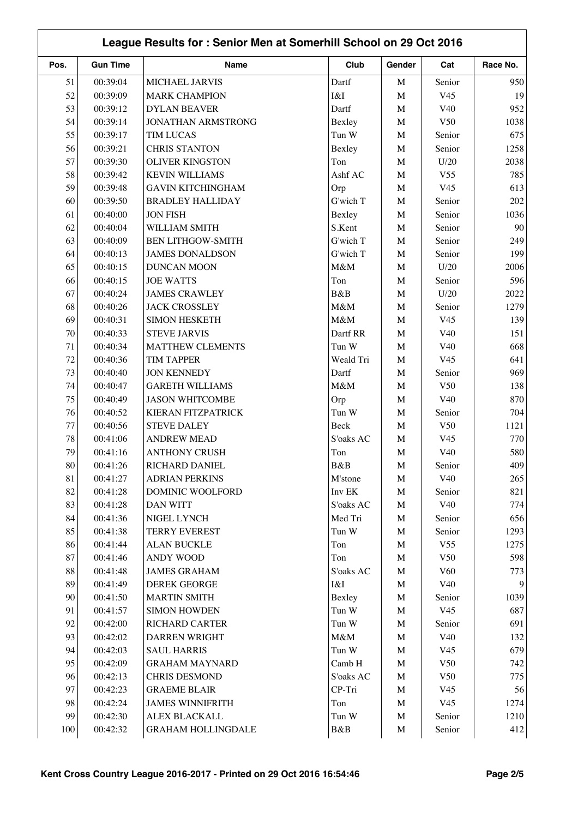|        | League Results for: Senior Men at Somerhill School on 29 Oct 2016 |                           |           |             |                 |                |
|--------|-------------------------------------------------------------------|---------------------------|-----------|-------------|-----------------|----------------|
| Pos.   | <b>Gun Time</b>                                                   | Name                      | Club      | Gender      | Cat             | Race No.       |
| 51     | 00:39:04                                                          | MICHAEL JARVIS            | Dartf     | M           | Senior          | 950            |
| 52     | 00:39:09                                                          | <b>MARK CHAMPION</b>      | I&I       | $\mathbf M$ | V <sub>45</sub> | 19             |
| 53     | 00:39:12                                                          | <b>DYLAN BEAVER</b>       | Dartf     | $\mathbf M$ | V40             | 952            |
| 54     | 00:39:14                                                          | JONATHAN ARMSTRONG        | Bexley    | $\mathbf M$ | V <sub>50</sub> | 1038           |
| 55     | 00:39:17                                                          | <b>TIM LUCAS</b>          | Tun W     | $\mathbf M$ | Senior          | 675            |
| 56     | 00:39:21                                                          | <b>CHRIS STANTON</b>      | Bexley    | $\mathbf M$ | Senior          | 1258           |
| 57     | 00:39:30                                                          | <b>OLIVER KINGSTON</b>    | Ton       | $\mathbf M$ | U/20            | 2038           |
| 58     | 00:39:42                                                          | <b>KEVIN WILLIAMS</b>     | Ashf AC   | M           | V <sub>55</sub> | 785            |
| 59     | 00:39:48                                                          | <b>GAVIN KITCHINGHAM</b>  | Orp       | $\mathbf M$ | V <sub>45</sub> | 613            |
| 60     | 00:39:50                                                          | <b>BRADLEY HALLIDAY</b>   | G'wich T  | M           | Senior          | 202            |
| 61     | 00:40:00                                                          | <b>JON FISH</b>           | Bexley    | $\mathbf M$ | Senior          | 1036           |
| 62     | 00:40:04                                                          | WILLIAM SMITH             | S.Kent    | $\mathbf M$ | Senior          | 90             |
| 63     | 00:40:09                                                          | <b>BEN LITHGOW-SMITH</b>  | G'wich T  | $\mathbf M$ | Senior          | 249            |
| 64     | 00:40:13                                                          | <b>JAMES DONALDSON</b>    | G'wich T  | $\mathbf M$ | Senior          | 199            |
| 65     | 00:40:15                                                          | <b>DUNCAN MOON</b>        | M&M       | $\mathbf M$ | U/20            | 2006           |
| 66     | 00:40:15                                                          | <b>JOE WATTS</b>          | Ton       | $\mathbf M$ | Senior          | 596            |
| 67     | 00:40:24                                                          | <b>JAMES CRAWLEY</b>      | B&B       | $\mathbf M$ | U/20            | 2022           |
| 68     | 00:40:26                                                          | <b>JACK CROSSLEY</b>      | M&M       | $\mathbf M$ | Senior          | 1279           |
| 69     | 00:40:31                                                          | <b>SIMON HESKETH</b>      | M&M       | $\mathbf M$ | V <sub>45</sub> | 139            |
| 70     | 00:40:33                                                          | <b>STEVE JARVIS</b>       | Dartf RR  | $\mathbf M$ | V <sub>40</sub> | 151            |
| 71     | 00:40:34                                                          | <b>MATTHEW CLEMENTS</b>   | Tun W     | M           | V <sub>40</sub> | 668            |
| 72     | 00:40:36                                                          | <b>TIM TAPPER</b>         | Weald Tri | $\mathbf M$ | V <sub>45</sub> | 641            |
| 73     | 00:40:40                                                          | <b>JON KENNEDY</b>        | Dartf     | M           | Senior          | 969            |
| 74     | 00:40:47                                                          | <b>GARETH WILLIAMS</b>    | M&M       | M           | V50             | 138            |
| 75     | 00:40:49                                                          | <b>JASON WHITCOMBE</b>    | Orp       | M           | V40             | 870            |
| 76     | 00:40:52                                                          | KIERAN FITZPATRICK        | Tun W     | M           | Senior          | 704            |
| 77     | 00:40:56                                                          | <b>STEVE DALEY</b>        | Beck      | $\mathbf M$ | V50             | 1121           |
| 78     | 00:41:06                                                          | <b>ANDREW MEAD</b>        | S'oaks AC | $\mathbf M$ | V <sub>45</sub> | 770            |
| 79     | 00:41:16                                                          | <b>ANTHONY CRUSH</b>      | Ton       | $\mathbf M$ | V40             | 580            |
| $80\,$ | 00:41:26                                                          | RICHARD DANIEL            | B&B       | M           | Senior          | 409            |
| 81     | 00:41:27                                                          | <b>ADRIAN PERKINS</b>     | M'stone   | M           | V40             | 265            |
| 82     | 00:41:28                                                          | DOMINIC WOOLFORD          | Inv EK    | $\mathbf M$ | Senior          | 821            |
| 83     | 00:41:28                                                          | <b>DAN WITT</b>           | S'oaks AC | $\mathbf M$ | V40             | 774            |
| 84     | 00:41:36                                                          | NIGEL LYNCH               | Med Tri   | $\mathbf M$ | Senior          | 656            |
| 85     | 00:41:38                                                          | <b>TERRY EVEREST</b>      | Tun W     | $\mathbf M$ | Senior          | 1293           |
| 86     | 00:41:44                                                          | <b>ALAN BUCKLE</b>        | Ton       | M           | V <sub>55</sub> | 1275           |
| 87     | 00:41:46                                                          | <b>ANDY WOOD</b>          | Ton       | M           | V50             | 598            |
| 88     | 00:41:48                                                          | <b>JAMES GRAHAM</b>       | S'oaks AC | $\mathbf M$ | V60             | 773            |
| 89     | 00:41:49                                                          | <b>DEREK GEORGE</b>       | I&I       | $\mathbf M$ | V40             | $\overline{9}$ |
| 90     | 00:41:50                                                          | <b>MARTIN SMITH</b>       | Bexley    | $\mathbf M$ | Senior          | 1039           |
| 91     | 00:41:57                                                          | <b>SIMON HOWDEN</b>       | Tun W     | $\mathbf M$ | V <sub>45</sub> | 687            |
| 92     | 00:42:00                                                          | <b>RICHARD CARTER</b>     | Tun W     | M           | Senior          | 691            |
| 93     | 00:42:02                                                          | <b>DARREN WRIGHT</b>      | M&M       | $\mathbf M$ | V40             | 132            |
| 94     | 00:42:03                                                          | <b>SAUL HARRIS</b>        | Tun W     | $\mathbf M$ | V <sub>45</sub> | 679            |
| 95     | 00:42:09                                                          | <b>GRAHAM MAYNARD</b>     | Camb H    | $\mathbf M$ | V50             | 742            |
| 96     | 00:42:13                                                          | <b>CHRIS DESMOND</b>      | S'oaks AC | $\mathbf M$ | V50             | 775            |
| 97     | 00:42:23                                                          | <b>GRAEME BLAIR</b>       | CP-Tri    | $\mathbf M$ | V <sub>45</sub> | 56             |
| 98     | 00:42:24                                                          | <b>JAMES WINNIFRITH</b>   | Ton       | $\mathbf M$ | V <sub>45</sub> | 1274           |
| 99     | 00:42:30                                                          | ALEX BLACKALL             | Tun W     | $\mathbf M$ | Senior          | 1210           |
| 100    | 00:42:32                                                          | <b>GRAHAM HOLLINGDALE</b> | B&B       | M           | Senior          | 412            |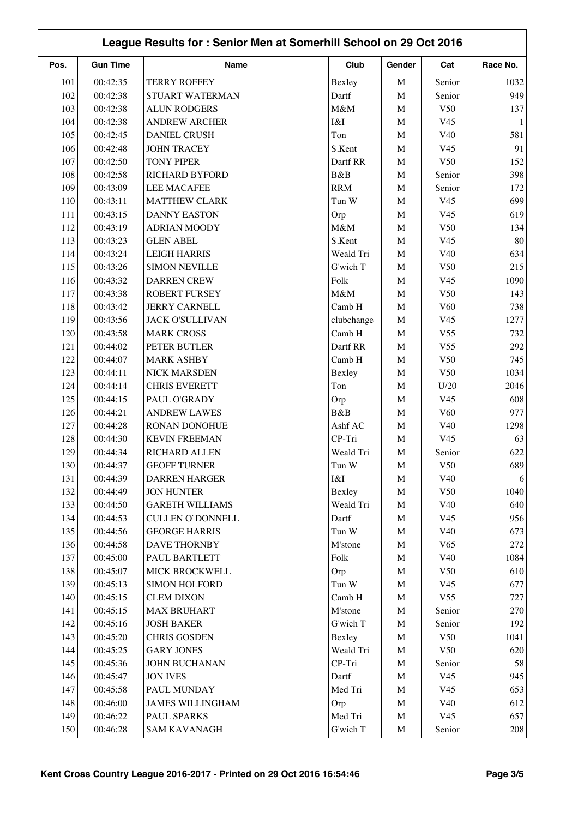| League Results for: Senior Men at Somerhill School on 29 Oct 2016 |                 |                         |            |             |                 |           |
|-------------------------------------------------------------------|-----------------|-------------------------|------------|-------------|-----------------|-----------|
| Pos.                                                              | <b>Gun Time</b> | Name                    | Club       | Gender      | Cat             | Race No.  |
| 101                                                               | 00:42:35        | <b>TERRY ROFFEY</b>     | Bexley     | $\mathbf M$ | Senior          | 1032      |
| 102                                                               | 00:42:38        | STUART WATERMAN         | Dartf      | $\mathbf M$ | Senior          | 949       |
| 103                                                               | 00:42:38        | <b>ALUN RODGERS</b>     | M&M        | $\mathbf M$ | V50             | 137       |
| 104                                                               | 00:42:38        | <b>ANDREW ARCHER</b>    | I&I        | M           | V <sub>45</sub> | 1         |
| 105                                                               | 00:42:45        | <b>DANIEL CRUSH</b>     | Ton        | M           | V40             | 581       |
| 106                                                               | 00:42:48        | <b>JOHN TRACEY</b>      | S.Kent     | $\mathbf M$ | V <sub>45</sub> | 91        |
| 107                                                               | 00:42:50        | <b>TONY PIPER</b>       | Dartf RR   | M           | V50             | 152       |
| 108                                                               | 00:42:58        | <b>RICHARD BYFORD</b>   | B&B        | $\mathbf M$ | Senior          | 398       |
| 109                                                               | 00:43:09        | <b>LEE MACAFEE</b>      | <b>RRM</b> | $\mathbf M$ | Senior          | 172       |
| 110                                                               | 00:43:11        | <b>MATTHEW CLARK</b>    | Tun W      | $\mathbf M$ | V <sub>45</sub> | 699       |
| 111                                                               | 00:43:15        | <b>DANNY EASTON</b>     | Orp        | $\mathbf M$ | V <sub>45</sub> | 619       |
| 112                                                               | 00:43:19        | <b>ADRIAN MOODY</b>     | M&M        | $\mathbf M$ | V50             | 134       |
| 113                                                               | 00:43:23        | <b>GLEN ABEL</b>        | S.Kent     | $\mathbf M$ | V <sub>45</sub> | 80        |
| 114                                                               | 00:43:24        | <b>LEIGH HARRIS</b>     | Weald Tri  | $\mathbf M$ | V40             | 634       |
| 115                                                               | 00:43:26        | <b>SIMON NEVILLE</b>    | G'wich T   | $\mathbf M$ | V <sub>50</sub> | 215       |
| 116                                                               | 00:43:32        | <b>DARREN CREW</b>      | Folk       | $\mathbf M$ | V <sub>45</sub> | 1090      |
| 117                                                               | 00:43:38        | <b>ROBERT FURSEY</b>    | M&M        | $\mathbf M$ | V50             | 143       |
| 118                                                               | 00:43:42        | <b>JERRY CARNELL</b>    | Camb H     | $\mathbf M$ | V <sub>60</sub> | 738       |
| 119                                                               | 00:43:56        | <b>JACK O'SULLIVAN</b>  | clubchange | $\mathbf M$ | V <sub>45</sub> | 1277      |
| 120                                                               | 00:43:58        | <b>MARK CROSS</b>       | Camb H     | $\mathbf M$ | V <sub>55</sub> | 732       |
| 121                                                               | 00:44:02        | PETER BUTLER            | Dartf RR   | $\mathbf M$ | V <sub>55</sub> | 292       |
| 122                                                               | 00:44:07        | <b>MARK ASHBY</b>       | Camb H     | $\mathbf M$ | V <sub>50</sub> | 745       |
| 123                                                               | 00:44:11        | NICK MARSDEN            | Bexley     | M           | V50             | 1034      |
| 124                                                               | 00:44:14        | <b>CHRIS EVERETT</b>    | Ton        | $\mathbf M$ | U/20            | 2046      |
| 125                                                               | 00:44:15        | PAUL O'GRADY            | Orp        | $\mathbf M$ | V <sub>45</sub> | 608       |
| 126                                                               | 00:44:21        | <b>ANDREW LAWES</b>     | B&B        | M           | V <sub>60</sub> | 977       |
| 127                                                               | 00:44:28        | RONAN DONOHUE           | Ashf AC    | $\mathbf M$ | V40             | 1298      |
| 128                                                               | 00:44:30        | <b>KEVIN FREEMAN</b>    | CP-Tri     | $\mathbf M$ | V <sub>45</sub> | 63        |
| 129                                                               | 00:44:34        | RICHARD ALLEN           | Weald Tri  | $\mathbf M$ | Senior          | 622       |
| 130                                                               | 00:44:37        | <b>GEOFF TURNER</b>     | Tun W      | M           | V50             | 689       |
| 131                                                               | 00:44:39        | <b>DARREN HARGER</b>    | I&I        | M           | V40             |           |
| 132                                                               | 00:44:49        | <b>JON HUNTER</b>       | Bexley     | $\mathbf M$ | V50             | 1040      |
| 133                                                               | 00:44:50        | <b>GARETH WILLIAMS</b>  | Weald Tri  | $\mathbf M$ | V40             | 640       |
| 134                                                               | 00:44:53        | <b>CULLEN O'DONNELL</b> | Dartf      | M           | V <sub>45</sub> | 956       |
| 135                                                               | 00:44:56        | <b>GEORGE HARRIS</b>    | Tun W      | $\mathbf M$ | V40             | 673       |
| 136                                                               | 00:44:58        | DAVE THORNBY            | M'stone    | M           | V65             | 272       |
| 137                                                               | 00:45:00        | PAUL BARTLETT           | Folk       | M           | V40             | 1084      |
| 138                                                               | 00:45:07        | MICK BROCKWELL          | Orp        | M           | V50             | 610       |
| 139                                                               | 00:45:13        | <b>SIMON HOLFORD</b>    | Tun W      | M           | V <sub>45</sub> | 677       |
| 140                                                               | 00:45:15        | <b>CLEM DIXON</b>       | Camb H     | $\mathbf M$ | V <sub>55</sub> | 727       |
| 141                                                               | 00:45:15        | <b>MAX BRUHART</b>      | M'stone    | M           | Senior          | 270       |
| 142                                                               | 00:45:16        | <b>JOSH BAKER</b>       | G'wich T   | $\mathbf M$ | Senior          | 192       |
|                                                                   |                 |                         |            |             |                 |           |
| 143                                                               | 00:45:20        | <b>CHRIS GOSDEN</b>     | Bexley     | $\mathbf M$ | V50             | 1041      |
| 144                                                               | 00:45:25        | <b>GARY JONES</b>       | Weald Tri  | M           | V50             | 620<br>58 |
| 145                                                               | 00:45:36        | JOHN BUCHANAN           | CP-Tri     | M           | Senior          |           |
| 146                                                               | 00:45:47        | <b>JON IVES</b>         | Dartf      | $\mathbf M$ | V <sub>45</sub> | 945       |
| 147                                                               | 00:45:58        | PAUL MUNDAY             | Med Tri    | M           | V <sub>45</sub> | 653       |
| 148                                                               | 00:46:00        | <b>JAMES WILLINGHAM</b> | Orp        | M           | V40             | 612       |
| 149                                                               | 00:46:22        | PAUL SPARKS             | Med Tri    | $\mathbf M$ | V <sub>45</sub> | 657       |
| 150                                                               | 00:46:28        | <b>SAM KAVANAGH</b>     | G'wich T   | M           | Senior          | 208       |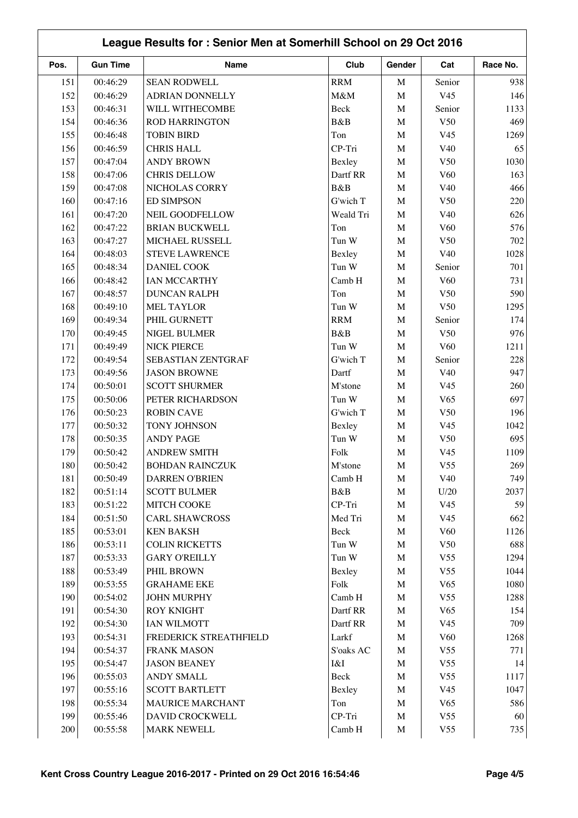| League Results for: Senior Men at Somerhill School on 29 Oct 2016 |                 |                         |            |             |                 |            |
|-------------------------------------------------------------------|-----------------|-------------------------|------------|-------------|-----------------|------------|
| Pos.                                                              | <b>Gun Time</b> | Name                    | Club       | Gender      | Cat             | Race No.   |
| 151                                                               | 00:46:29        | <b>SEAN RODWELL</b>     | <b>RRM</b> | $\mathbf M$ | Senior          | 938        |
| 152                                                               | 00:46:29        | <b>ADRIAN DONNELLY</b>  | M&M        | $\mathbf M$ | V <sub>45</sub> | 146        |
| 153                                                               | 00:46:31        | WILL WITHECOMBE         | Beck       | $\mathbf M$ | Senior          | 1133       |
| 154                                                               | 00:46:36        | <b>ROD HARRINGTON</b>   | B&B        | $\mathbf M$ | V50             | 469        |
| 155                                                               | 00:46:48        | <b>TOBIN BIRD</b>       | Ton        | $\mathbf M$ | V <sub>45</sub> | 1269       |
| 156                                                               | 00:46:59        | <b>CHRIS HALL</b>       | CP-Tri     | $\mathbf M$ | V40             | 65         |
| 157                                                               | 00:47:04        | <b>ANDY BROWN</b>       | Bexley     | $\mathbf M$ | V50             | 1030       |
| 158                                                               | 00:47:06        | <b>CHRIS DELLOW</b>     | Dartf RR   | $\mathbf M$ | V60             | 163        |
| 159                                                               | 00:47:08        | NICHOLAS CORRY          | B&B        | $\mathbf M$ | V40             | 466        |
| 160                                                               | 00:47:16        | <b>ED SIMPSON</b>       | G'wich T   | $\mathbf M$ | V50             | 220        |
| 161                                                               | 00:47:20        | NEIL GOODFELLOW         | Weald Tri  | $\mathbf M$ | V40             | 626        |
| 162                                                               | 00:47:22        | <b>BRIAN BUCKWELL</b>   | Ton        | $\mathbf M$ | V60             | 576        |
| 163                                                               | 00:47:27        | MICHAEL RUSSELL         | Tun W      | $\mathbf M$ | V50             | 702        |
| 164                                                               | 00:48:03        | <b>STEVE LAWRENCE</b>   | Bexley     | $\mathbf M$ | V40             | 1028       |
| 165                                                               | 00:48:34        | DANIEL COOK             | Tun W      | $\mathbf M$ | Senior          | 701        |
| 166                                                               | 00:48:42        | <b>IAN MCCARTHY</b>     | Camb H     | $\mathbf M$ | V <sub>60</sub> | 731        |
| 167                                                               | 00:48:57        | <b>DUNCAN RALPH</b>     | Ton        | $\mathbf M$ | V50             | 590        |
| 168                                                               | 00:49:10        | MEL TAYLOR              | Tun W      | $\mathbf M$ | V <sub>50</sub> | 1295       |
| 169                                                               | 00:49:34        | PHIL GURNETT            | <b>RRM</b> | $\mathbf M$ | Senior          | 174        |
| 170                                                               | 00:49:45        | NIGEL BULMER            | B&B        | $\mathbf M$ | V50             | 976        |
| 171                                                               | 00:49:49        | <b>NICK PIERCE</b>      | Tun W      | $\mathbf M$ | V <sub>60</sub> | 1211       |
| 172                                                               | 00:49:54        | SEBASTIAN ZENTGRAF      | G'wich T   | $\mathbf M$ | Senior          | 228        |
| 173                                                               | 00:49:56        | <b>JASON BROWNE</b>     | Dartf      | $\mathbf M$ | V <sub>40</sub> | 947        |
|                                                                   |                 |                         |            |             |                 |            |
| 174                                                               | 00:50:01        | <b>SCOTT SHURMER</b>    | M'stone    | $\mathbf M$ | V <sub>45</sub> | 260<br>697 |
| 175                                                               | 00:50:06        | PETER RICHARDSON        | Tun W      | $\mathbf M$ | V <sub>65</sub> |            |
| 176                                                               | 00:50:23        | <b>ROBIN CAVE</b>       | G'wich T   | $\mathbf M$ | V50             | 196        |
| 177                                                               | 00:50:32        | TONY JOHNSON            | Bexley     | $\mathbf M$ | V <sub>45</sub> | 1042       |
| 178                                                               | 00:50:35        | <b>ANDY PAGE</b>        | Tun W      | $\mathbf M$ | V50             | 695        |
| 179                                                               | 00:50:42        | <b>ANDREW SMITH</b>     | Folk       | $\mathbf M$ | V <sub>45</sub> | 1109       |
| 180                                                               | 00:50:42        | <b>BOHDAN RAINCZUK</b>  | M'stone    | M           | V <sub>55</sub> | 269        |
| 181                                                               | 00:50:49        | <b>DARREN O'BRIEN</b>   | Camb H     | $\mathbf M$ | V40             | 749        |
| 182                                                               | 00:51:14        | <b>SCOTT BULMER</b>     | B&B        | $\mathbf M$ | U/20            | 2037       |
| 183                                                               | 00:51:22        | MITCH COOKE             | CP-Tri     | $\mathbf M$ | V <sub>45</sub> | 59         |
| 184                                                               | 00:51:50        | <b>CARL SHAWCROSS</b>   | Med Tri    | $\mathbf M$ | V <sub>45</sub> | 662        |
| 185                                                               | 00:53:01        | <b>KEN BAKSH</b>        | Beck       | $\mathbf M$ | V60             | 1126       |
| 186                                                               | 00:53:11        | <b>COLIN RICKETTS</b>   | Tun W      | $\mathbf M$ | V50             | 688        |
| 187                                                               | 00:53:33        | <b>GARY O'REILLY</b>    | Tun W      | $\mathbf M$ | V <sub>55</sub> | 1294       |
| 188                                                               | 00:53:49        | PHIL BROWN              | Bexley     | $\mathbf M$ | V <sub>55</sub> | 1044       |
| 189                                                               | 00:53:55        | <b>GRAHAME EKE</b>      | Folk       | $\mathbf M$ | V65             | 1080       |
| 190                                                               | 00:54:02        | <b>JOHN MURPHY</b>      | Camb H     | $\mathbf M$ | V <sub>55</sub> | 1288       |
| 191                                                               | 00:54:30        | ROY KNIGHT              | Dartf RR   | $\mathbf M$ | V65             | 154        |
| 192                                                               | 00:54:30        | IAN WILMOTT             | Dartf RR   | $\mathbf M$ | V <sub>45</sub> | 709        |
| 193                                                               | 00:54:31        | FREDERICK STREATHFIELD  | Larkf      | $\mathbf M$ | V60             | 1268       |
| 194                                                               | 00:54:37        | <b>FRANK MASON</b>      | S'oaks AC  | $\mathbf M$ | V <sub>55</sub> | 771        |
| 195                                                               | 00:54:47        | <b>JASON BEANEY</b>     | I&I        | $\mathbf M$ | V <sub>55</sub> | 14         |
| 196                                                               | 00:55:03        | <b>ANDY SMALL</b>       | Beck       | $\mathbf M$ | V <sub>55</sub> | 1117       |
| 197                                                               | 00:55:16        | <b>SCOTT BARTLETT</b>   | Bexley     | $\mathbf M$ | V <sub>45</sub> | 1047       |
| 198                                                               | 00:55:34        | <b>MAURICE MARCHANT</b> | Ton        | $\mathbf M$ | V65             | 586        |
| 199                                                               | 00:55:46        | DAVID CROCKWELL         | CP-Tri     | $\mathbf M$ | V <sub>55</sub> | 60         |
| 200                                                               | 00:55:58        | <b>MARK NEWELL</b>      | Camb H     | $\mathbf M$ | V <sub>55</sub> | 735        |